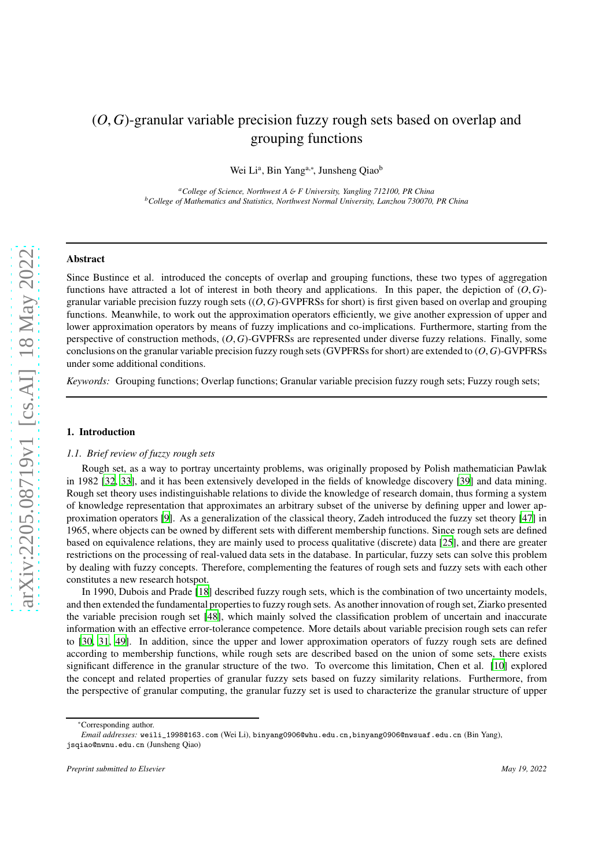# (*O*,*G*)-granular variable precision fuzzy rough sets based on overlap and grouping functions

Wei Li<sup>a</sup>, Bin Yang<sup>a,∗</sup>, Junsheng Qiao<sup>b</sup>

*<sup>a</sup>College of Science, Northwest A* & *F University, Yangling 712100, PR China <sup>b</sup>College of Mathematics and Statistics, Northwest Normal University, Lanzhou 730070, PR China*

## Abstract

Since Bustince et al. introduced the concepts of overlap and grouping functions, these two types of aggregation functions have attracted a lot of interest in both theory and applications. In this paper, the depiction of (*O*, *G*) granular variable precision fuzzy rough sets ((*O*, *G*)-GVPFRSs for short) is first given based on overlap and grouping functions. Meanwhile, to work out the approximation operators efficiently, we give another expression of upper and lower approximation operators by means of fuzzy implications and co-implications. Furthermore, starting from the perspective of construction methods, (*O*, *G*)-GVPFRSs are represented under diverse fuzzy relations. Finally, some conclusions on the granular variable precision fuzzy rough sets (GVPFRSs for short) are extended to (*O*, *G*)-GVPFRSs under some additional conditions.

*Keywords:* Grouping functions; Overlap functions; Granular variable precision fuzzy rough sets; Fuzzy rough sets;

#### 1. Introduction

#### *1.1. Brief review of fuzzy rough sets*

Rough set, as a way to portray uncertainty problems, was originally proposed by Polish mathematician Pawlak in 1982 [\[32,](#page-23-0) [33](#page-23-1)], and it has been extensively developed in the fields of knowledge discovery [\[39](#page-23-2)] and data mining. Rough set theory uses indistinguishable relations to divide the knowledge of research domain, thus forming a system of knowledge representation that approximates an arbitrary subset of the universe by defining upper and lower approximation operators [\[9](#page-22-0)]. As a generalization of the classical theory, Zadeh introduced the fuzzy set theory [\[47\]](#page-23-3) in 1965, where objects can be owned by different sets with different membership functions. Since rough sets are defined based on equivalence relations, they are mainly used to process qualitative (discrete) data [\[25\]](#page-23-4), and there are greater restrictions on the processing of real-valued data sets in the database. In particular, fuzzy sets can solve this problem by dealing with fuzzy concepts. Therefore, complementing the features of rough sets and fuzzy sets with each other constitutes a new research hotspot.

In 1990, Dubois and Prade [\[18\]](#page-23-5) described fuzzy rough sets, which is the combination of two uncertainty models, and then extended the fundamental properties to fuzzy rough sets. As another innovation of rough set, Ziarko presented the variable precision rough set [\[48](#page-23-6)], which mainly solved the classification problem of uncertain and inaccurate information with an effective error-tolerance competence. More details about variable precision rough sets can refer to [\[30,](#page-23-7) 31, [49](#page-23-8)]. In addition, since the upper and lower approximation operators of fuzzy rough sets are defined according to membership functions, while rough sets are described based on the union of some sets, there exists significant difference in the granular structure of the two. To overcome this limitation, Chen et al. [\[10](#page-23-9)] explored the concept and related properties of granular fuzzy sets based on fuzzy similarity relations. Furthermore, from the perspective of granular computing, the granular fuzzy set is used to characterize the granular structure of upper

<sup>∗</sup>Corresponding author.

*Email addresses:* weili\_1998@163.com (Wei Li), binyang0906@whu.edu.cn,binyang0906@nwsuaf.edu.cn (Bin Yang), jsqiao@nwnu.edu.cn (Junsheng Qiao)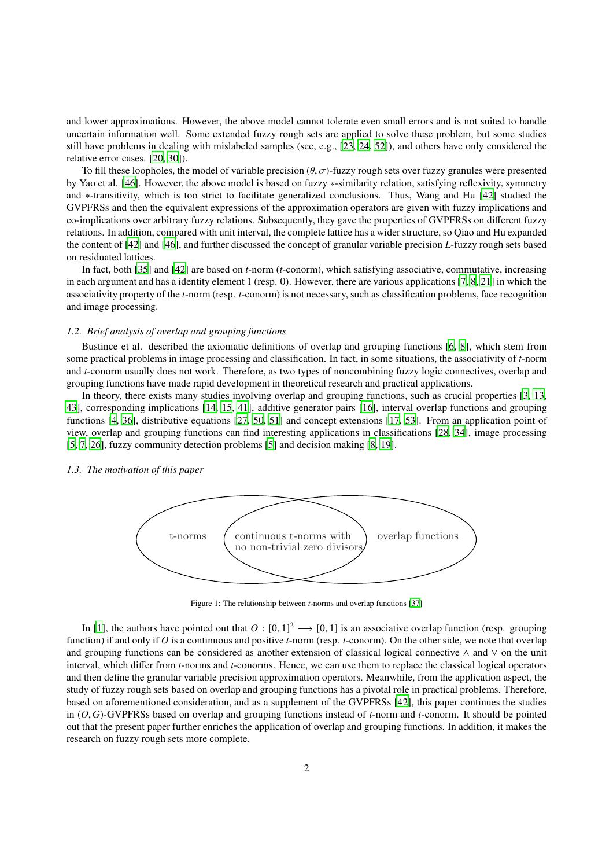and lower approximations. However, the above model cannot tolerate even small errors and is not suited to handle uncertain information well. Some extended fuzzy rough sets are applied to solve these problem, but some studies still have problems in dealing with mislabeled samples (see, e.g., [\[23](#page-23-10), [24,](#page-23-11) [52\]](#page-23-12)), and others have only considered the relative error cases. [\[20](#page-23-13), [30](#page-23-7)]).

To fill these loopholes, the model of variable precision  $(\theta, \sigma)$ -fuzzy rough sets over fuzzy granules were presented by Yao et al. [\[46](#page-23-14)]. However, the above model is based on fuzzy ∗-similarity relation, satisfying reflexivity, symmetry and ∗-transitivity, which is too strict to facilitate generalized conclusions. Thus, Wang and Hu [\[42\]](#page-23-15) studied the GVPFRSs and then the equivalent expressions of the approximation operators are given with fuzzy implications and co-implications over arbitrary fuzzy relations. Subsequently, they gave the properties of GVPFRSs on different fuzzy relations. In addition, compared with unit interval, the complete lattice has a wider structure, so Qiao and Hu expanded the content of [\[42\]](#page-23-15) and [\[46](#page-23-14)], and further discussed the concept of granular variable precision *L*-fuzzy rough sets based on residuated lattices.

In fact, both [\[35\]](#page-23-16) and [\[42\]](#page-23-15) are based on *t*-norm (*t*-conorm), which satisfying associative, commutative, increasing in each argument and has a identity element 1 (resp. 0). However, there are various applications [\[7](#page-22-1), [8](#page-22-2), [21\]](#page-23-17) in which the associativity property of the *t*-norm (resp. *t*-conorm) is not necessary, such as classification problems, face recognition and image processing.

#### *1.2. Brief analysis of overlap and grouping functions*

Bustince et al. described the axiomatic definitions of overlap and grouping functions [\[6,](#page-22-3) [8\]](#page-22-2), which stem from some practical problems in image processing and classification. In fact, in some situations, the associativity of *t*-norm and *t*-conorm usually does not work. Therefore, as two types of noncombining fuzzy logic connectives, overlap and grouping functions have made rapid development in theoretical research and practical applications.

In theory, there exists many studies involving overlap and grouping functions, such as crucial properties [\[3,](#page-22-4) [13](#page-23-18), [43\]](#page-23-19), corresponding implications [\[14,](#page-23-20) [15](#page-23-21), [41\]](#page-23-22), additive generator pairs [\[16\]](#page-23-23), interval overlap functions and grouping functions [4, [36\]](#page-23-24), distributive equations [27, [50,](#page-23-25) [51\]](#page-23-26) and concept extensions [\[17,](#page-23-27) [53](#page-23-28)]. From an application point of view, overlap and grouping functions can find interesting applications in classifications [\[28,](#page-23-29) [34](#page-23-30)], image processing [\[5,](#page-22-5) [7,](#page-22-1) [26\]](#page-23-31), fuzzy community detection problems [\[5](#page-22-5)] and decision making [\[8,](#page-22-2) [19\]](#page-23-32).

## *1.3. The motivation of this paper*



Figure 1: The relationship between *t*-norms and overlap functions [\[37](#page-23-33)]

In [\[1](#page-22-6)], the authors have pointed out that  $O: [0, 1]^2 \longrightarrow [0, 1]$  is an associative overlap function (resp. grouping function) if and only if *O* is a continuous and positive *t*-norm (resp. *t*-conorm). On the other side, we note that overlap and grouping functions can be considered as another extension of classical logical connective ∧ and ∨ on the unit interval, which differ from *t*-norms and *t*-conorms. Hence, we can use them to replace the classical logical operators and then define the granular variable precision approximation operators. Meanwhile, from the application aspect, the study of fuzzy rough sets based on overlap and grouping functions has a pivotal role in practical problems. Therefore, based on aforementioned consideration, and as a supplement of the GVPFRSs [\[42\]](#page-23-15), this paper continues the studies in (*O*, *G*)-GVPFRSs based on overlap and grouping functions instead of *t*-norm and *t*-conorm. It should be pointed out that the present paper further enriches the application of overlap and grouping functions. In addition, it makes the research on fuzzy rough sets more complete.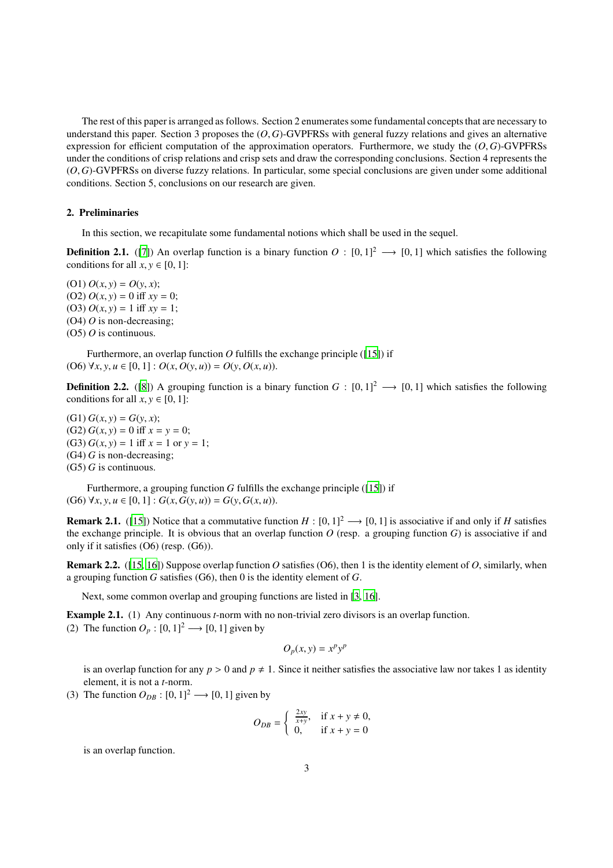The rest of this paper is arranged as follows. Section 2 enumerates some fundamental concepts that are necessary to understand this paper. Section 3 proposes the (*O*, *G*)-GVPFRSs with general fuzzy relations and gives an alternative expression for efficient computation of the approximation operators. Furthermore, we study the (*O*, *G*)-GVPFRSs under the conditions of crisp relations and crisp sets and draw the corresponding conclusions. Section 4 represents the (*O*, *G*)-GVPFRSs on diverse fuzzy relations. In particular, some special conclusions are given under some additional conditions. Section 5, conclusions on our research are given.

# 2. Preliminaries

In this section, we recapitulate some fundamental notions which shall be used in the sequel.

**Definition 2.1.** ([\[7](#page-22-1)]) An overlap function is a binary function  $O : [0,1]^2 \rightarrow [0,1]$  which satisfies the following conditions for all  $x, y \in [0, 1]$ :

(O1) *O*(*x*, *y*) = *O*(*y*, *x*); (O2) *O*(*x*, *y*) = 0 iff *xy* = 0; (O3) *O*(*x*, *y*) = 1 iff *xy* = 1; (O4) *O* is non-decreasing; (O5) *O* is continuous.

Furthermore, an overlap function  $O$  fulfills the exchange principle ([\[15](#page-23-21)]) if (O6)  $\forall x, y, u \in [0, 1]: O(x, O(y, u)) = O(y, O(x, u)).$ 

**Definition 2.2.** ([\[8](#page-22-2)]) A grouping function is a binary function  $G : [0, 1]^2 \rightarrow [0, 1]$  which satisfies the following conditions for all  $x, y \in [0, 1]$ :

 $(G1) G(x, y) = G(y, x);$ (G2) *G*(*x*, *y*) = 0 iff *x* = *y* = 0; (G3) *G*(*x*, *y*) = 1 iff *x* = 1 or *y* = 1; (G4) *G* is non-decreasing; (G5) *G* is continuous.

Furthermore, a grouping function *G* fulfills the exchange principle ([\[15\]](#page-23-21)) if (G6) ∀*x*, *y*, *u* ∈ [0, 1] : *G*(*x*, *G*(*y*, *u*)) = *G*(*y*, *G*(*x*, *u*)).

**Remark 2.1.** ([\[15\]](#page-23-21)) Notice that a commutative function  $H : [0, 1]^2 \rightarrow [0, 1]$  is associative if and only if *H* satisfies the exchange principle. It is obvious that an overlap function  $O$  (resp. a grouping function  $G$ ) is associative if and only if it satisfies (O6) (resp. (G6)).

**Remark 2.2.** ([\[15,](#page-23-21) [16](#page-23-23)]) Suppose overlap function *O* satisfies (O6), then 1 is the identity element of *O*, similarly, when a grouping function *G* satisfies (G6), then 0 is the identity element of *G*.

Next, some common overlap and grouping functions are listed in [\[3,](#page-22-4) [16\]](#page-23-23).

Example 2.1. (1) Any continuous *t*-norm with no non-trivial zero divisors is an overlap function. (2) The function  $O_p : [0, 1]^2 \longrightarrow [0, 1]$  given by

$$
O_p(x, y) = x^p y^p
$$

is an overlap function for any  $p > 0$  and  $p \neq 1$ . Since it neither satisfies the associative law nor takes 1 as identity element, it is not a *t*-norm.

(3) The function  $O_{DB}$  :  $[0, 1]^2 \rightarrow [0, 1]$  given by

$$
O_{DB} = \begin{cases} \frac{2xy}{x+y}, & \text{if } x+y \neq 0, \\ 0, & \text{if } x+y = 0 \end{cases}
$$

is an overlap function.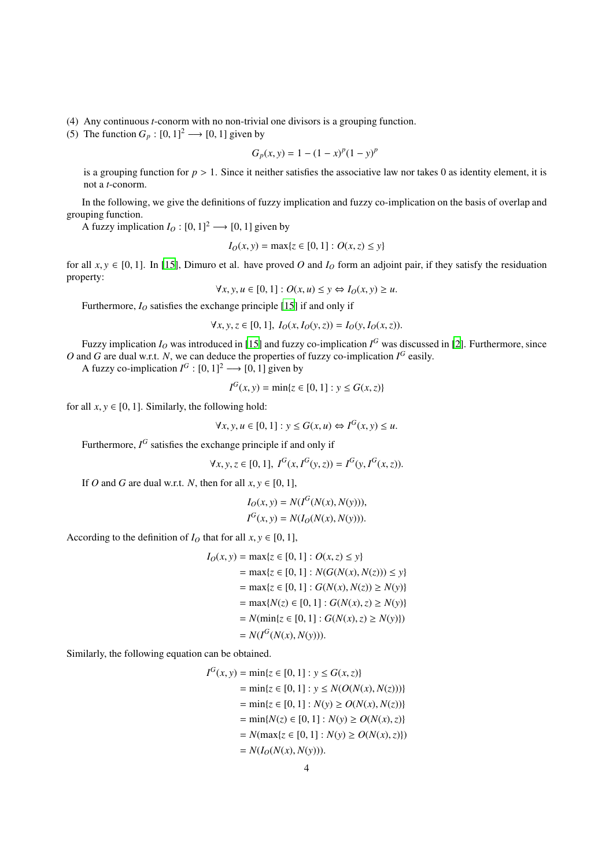(4) Any continuous *t*-conorm with no non-trivial one divisors is a grouping function.

(5) The function  $G_p : [0, 1]^2 \longrightarrow [0, 1]$  given by

$$
G_p(x, y) = 1 - (1 - x)^p (1 - y)^p
$$

is a grouping function for *p* > 1. Since it neither satisfies the associative law nor takes 0 as identity element, it is not a *t*-conorm.

In the following, we give the definitions of fuzzy implication and fuzzy co-implication on the basis of overlap and grouping function.

A fuzzy implication  $I_O : [0, 1]^2 \longrightarrow [0, 1]$  given by

$$
I_O(x, y) = \max\{z \in [0, 1] : O(x, z) \le y\}
$$

for all  $x, y \in [0, 1]$ . In [\[15\]](#page-23-21), Dimuro et al. have proved *O* and  $I_0$  form an adjoint pair, if they satisfy the residuation property:

$$
\forall x, y, u \in [0, 1]: O(x, u) \le y \Leftrightarrow I_O(x, y) \ge u.
$$

Furthermore, *I<sup>O</sup>* satisfies the exchange principle [\[15\]](#page-23-21) if and only if

$$
\forall x, y, z \in [0, 1], I_0(x, I_0(y, z)) = I_0(y, I_0(x, z)).
$$

Fuzzy implication  $I<sub>O</sub>$  was introduced in [\[15](#page-23-21)] and fuzzy co-implication  $I<sup>G</sup>$  was discussed in [\[2\]](#page-22-7). Furthermore, since O and G are dual w.r.t. N, we can deduce the properties of fuzzy co-implication  $I^G$  easily.

A fuzzy co-implication  $I^G$ :  $[0, 1]^2 \rightarrow [0, 1]$  given by

$$
I^{G}(x, y) = \min\{z \in [0, 1] : y \le G(x, z)\}\
$$

for all  $x, y \in [0, 1]$ . Similarly, the following hold:

$$
\forall x, y, u \in [0, 1] : y \le G(x, u) \Leftrightarrow I^G(x, y) \le u.
$$

Furthermore,  $I^G$  satisfies the exchange principle if and only if

$$
\forall x, y, z \in [0, 1], \ I^G(x, I^G(y, z)) = I^G(y, I^G(x, z)).
$$

If *O* and *G* are dual w.r.t. *N*, then for all  $x, y \in [0, 1]$ ,

$$
I_O(x, y) = N(I^G(N(x), N(y))),
$$
  

$$
I^G(x, y) = N(I_O(N(x), N(y))).
$$

According to the definition of  $I<sub>O</sub>$  that for all  $x, y \in [0, 1]$ ,

$$
I_O(x, y) = \max\{z \in [0, 1] : O(x, z) \le y\}
$$
  
=  $\max\{z \in [0, 1] : N(G(N(x), N(z))) \le y\}$   
=  $\max\{z \in [0, 1] : G(N(x), N(z)) \ge N(y)\}$   
=  $\max\{N(z) \in [0, 1] : G(N(x), z) \ge N(y)\}$   
=  $N(\min\{z \in [0, 1] : G(N(x), z) \ge N(y)\})$   
=  $N(I^G(N(x), N(y))).$ 

Similarly, the following equation can be obtained.

$$
I^{G}(x, y) = \min\{z \in [0, 1] : y \le G(x, z)\}
$$
  
=  $\min\{z \in [0, 1] : y \le N(O(N(x), N(z)))\}$   
=  $\min\{z \in [0, 1] : N(y) \ge O(N(x), N(z))\}$   
=  $\min\{N(z) \in [0, 1] : N(y) \ge O(N(x), z)\}$   
=  $N(\max\{z \in [0, 1] : N(y) \ge O(N(x), z)\})$   
=  $N(I_{O}(N(x), N(y))).$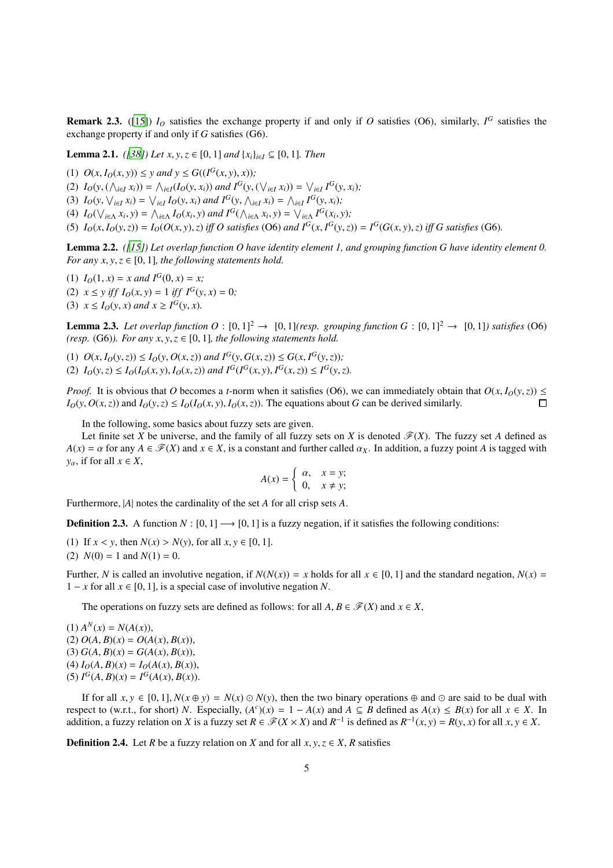**Remark 2.3.** ([\[15\]](#page-23-21))  $I<sub>O</sub>$  satisfies the exchange property if and only if *O* satisfies (O6), similarly,  $I<sup>G</sup>$  satisfies the exchange property if and only if *G* satisfies (G6).

<span id="page-4-1"></span>**Lemma 2.1.** *([\[38\]](#page-23-34)) Let x, y, z* ∈ [0, 1] *and*  $\{x_i\}_{i \in I}$  ⊆ [0, 1]*. Then* 

(1)  $O(x, I_O(x, y)) \leq y$  and  $y \leq G((I^G(x, y), x))$ ; (2)  $I_O(y, (\wedge_{i \in I} x_i)) = \wedge_{i \in I} (I_O(y, x_i))$  and  $I^G(y, (\vee_{i \in I} x_i)) = \vee_{i \in I} I^G(y, x_i);$ (3)  $I_O(y, \bigvee_{i \in I} x_i) = \bigvee_{i \in I} I_O(y, x_i)$  and  $I^G(y, \bigwedge_{i \in I} x_i) = \bigwedge_{i \in I} I^G(y, x_i)$ ; (4)  $I_O(\bigvee_{i\in\Lambda} x_i, y) = \bigwedge_{i\in\Lambda} I_O(x_i, y)$  and  $I^G(\bigwedge_{i\in\Lambda} x_i, y) = \bigvee_{i\in\Lambda} I^G(x_i, y)$ ; (5)  $I_0(x, I_0(y, z)) = I_0(O(x, y), z)$  iff O satisfies (O6) and  $I^G(x, I^G(y, z)) = I^G(G(x, y), z)$  iff G satisfies (G6).

<span id="page-4-0"></span>Lemma 2.2. *([\[15\]](#page-23-21)) Let overlap function O have identity element 1, and grouping function G have identity element 0. For any x, y, z*  $\in$  [0, 1]*, the following statements hold.* 

(1)  $I_0(1, x) = x$  and  $I^G(0, x) = x$ ; (2)  $x \leq y$  *iff*  $I_O(x, y) = 1$  *iff*  $I^G(y, x) = 0$ ; (3)  $x \leq I_O(y, x)$  and  $x \geq I^G(y, x)$ .

<span id="page-4-2"></span>**Lemma 2.3.** Let overlap function  $O : [0, 1]^2 \rightarrow [0, 1]$  (resp. grouping function  $G : [0, 1]^2 \rightarrow [0, 1]$ ) satisfies (O6) *(resp.* (G6)*). For any x, y, z*  $\in$  [0, 1]*, the following statements hold.* 

(1)  $O(x, I_O(y, z)) \le I_O(y, O(x, z))$  and  $I^G(y, G(x, z)) \le G(x, I^G(y, z))$ ; (2)  $I_0(y, z) \le I_0(I_0(x, y), I_0(x, z))$  and  $I^G(I^G(x, y), I^G(x, z)) \le I^G(y, z)$ .

*Proof.* It is obvious that *O* becomes a *t*-norm when it satisfies (O6), we can immediately obtain that  $O(x, I_0(y, z)) \le$  $I_0(y, O(x, z))$  and  $I_0(y, z) \leq I_0(I_0(x, y), I_0(x, z))$ . The equations about G can be derived similarly.  $\Box$ 

In the following, some basics about fuzzy sets are given.

Let finite set *X* be universe, and the family of all fuzzy sets on *X* is denoted  $\mathcal{F}(X)$ . The fuzzy set *A* defined as  $A(x) = \alpha$  for any  $A \in \mathcal{F}(X)$  and  $x \in X$ , is a constant and further called  $\alpha_X$ . In addition, a fuzzy point *A* is tagged with *y*<sub>α</sub>, if for all  $x \in X$ ,

$$
A(x) = \begin{cases} \alpha, & x = y; \\ 0, & x \neq y; \end{cases}
$$

Furthermore, |*A*| notes the cardinality of the set *A* for all crisp sets *A*.

**Definition 2.3.** A function  $N : [0, 1] \rightarrow [0, 1]$  is a fuzzy negation, if it satisfies the following conditions:

(1) If  $x < y$ , then  $N(x) > N(y)$ , for all  $x, y \in [0, 1]$ .

(2)  $N(0) = 1$  and  $N(1) = 0$ .

Further, *N* is called an involutive negation, if  $N(N(x)) = x$  holds for all  $x \in [0, 1]$  and the standard negation,  $N(x) =$ 1 − *x* for all  $x \in [0, 1]$ , is a special case of involutive negation *N*.

The operations on fuzzy sets are defined as follows: for all  $A, B \in \mathcal{F}(X)$  and  $x \in X$ ,

 $A^N(x) = N(A(x)),$  $O(A, B)(x) = O(A(x), B(x)),$  $G(3) G(A, B)(x) = G(A(x), B(x)),$  $I_O(A, B)(x) = I_O(A(x), B(x)),$ (5)  $I^G(A, B)(x) = I^G(A(x), B(x)).$ 

If for all  $x, y \in [0, 1]$ ,  $N(x \oplus y) = N(x) \odot N(y)$ , then the two binary operations  $\oplus$  and  $\odot$  are said to be dual with respect to (w.r.t., for short) *N*. Especially,  $(A^c)(x) = 1 - A(x)$  and  $A \subseteq B$  defined as  $A(x) \le B(x)$  for all  $x \in X$ . In addition, a fuzzy relation on *X* is a fuzzy set  $R \in \mathcal{F}(X \times X)$  and  $R^{-1}$  is defined as  $R^{-1}(x, y) = R(y, x)$  for all  $x, y \in X$ .

**Definition 2.4.** Let *R* be a fuzzy relation on *X* and for all  $x, y, z \in X$ , *R* satisfies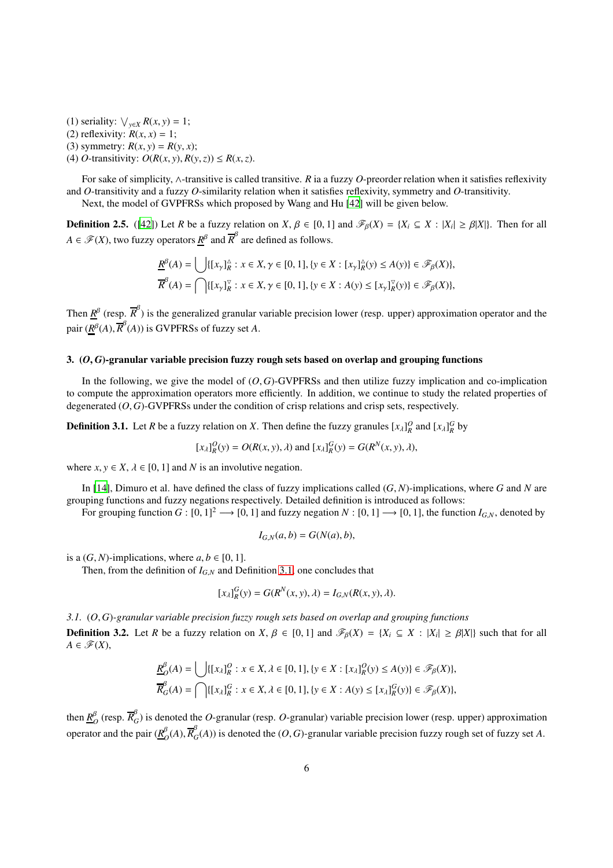(1) seriality:  $\bigvee_{y \in X} R(x, y) = 1$ ; (2) reflexivity:  $R(x, x) = 1$ ; (3) symmetry:  $R(x, y) = R(y, x)$ ; (4) *O*-transitivity:  $O(R(x, y), R(y, z)) \le R(x, z)$ .

For sake of simplicity, ∧-transitive is called transitive. *R* ia a fuzzy *O*-preorder relation when it satisfies reflexivity and *O*-transitivity and a fuzzy *O*-similarity relation when it satisfies reflexivity, symmetry and *O*-transitivity.

Next, the model of GVPFRSs which proposed by Wang and Hu [\[42](#page-23-15)] will be given below.

**Definition 2.5.** ([\[42\]](#page-23-15)) Let *R* be a fuzzy relation on *X*,  $\beta \in [0, 1]$  and  $\mathcal{F}_{\beta}(X) = \{X_i \subseteq X : |X_i| \geq \beta |X|\}$ . Then for all  $A \in \mathscr{F}(X)$ , two fuzzy operators  $R^{\beta}$  and  $\overline{R}^{\beta}$  are defined as follows.

$$
\underline{R}^{\beta}(A) = \bigcup \{ [x_{\gamma}]^{\alpha}_{R} : x \in X, \gamma \in [0, 1], \{y \in X : [x_{\gamma}]^{\alpha}_{R}(y) \le A(y) \} \in \mathcal{F}_{\beta}(X) \},
$$
  

$$
\overline{R}^{\beta}(A) = \bigcap \{ [x_{\gamma}]^{\nabla}_{R} : x \in X, \gamma \in [0, 1], \{y \in X : A(y) \le [x_{\gamma}]^{\nabla}_{R}(y) \} \in \mathcal{F}_{\beta}(X) \},
$$

Then  $\underline{R}^{\beta}$  (resp.  $\overline{R}^{\beta}$ ) is the generalized granular variable precision lower (resp. upper) approximation operator and the pair  $(\underline{R}^{\beta}(A), \overline{R}^{\beta}(A))$  is GVPFRSs of fuzzy set *A*.

# 3. (*O*, *<sup>G</sup>*)-granular variable precision fuzzy rough sets based on overlap and grouping functions

In the following, we give the model of  $(O, G)$ -GVPFRSs and then utilize fuzzy implication and co-implication to compute the approximation operators more efficiently. In addition, we continue to study the related properties of degenerated (*O*, *G*)-GVPFRSs under the condition of crisp relations and crisp sets, respectively.

<span id="page-5-0"></span>**Definition 3.1.** Let *R* be a fuzzy relation on *X*. Then define the fuzzy granules  $[x_\lambda]_R^O$  and  $[x_\lambda]_R^G$  by

$$
[x_{\lambda}]_{R}^{O}(y) = O(R(x, y), \lambda)
$$
 and  $[x_{\lambda}]_{R}^{G}(y) = G(R^{N}(x, y), \lambda)$ ,

where  $x, y \in X$ ,  $\lambda \in [0, 1]$  and N is an involutive negation.

In [\[14\]](#page-23-20), Dimuro et al. have defined the class of fuzzy implications called (*G*, *N*)-implications, where *G* and *N* are grouping functions and fuzzy negations respectively. Detailed definition is introduced as follows:

For grouping function  $G : [0, 1]^2 \longrightarrow [0, 1]$  and fuzzy negation  $N : [0, 1] \longrightarrow [0, 1]$ , the function  $I_{G,N}$ , denoted by

$$
I_{G,N}(a,b) = G(N(a),b),
$$

is a  $(G, N)$ -implications, where  $a, b \in [0, 1]$ .

Then, from the definition of  $I_{GN}$  and Definition [3.1,](#page-5-0) one concludes that

$$
[x_{\lambda}]^G_R(y) = G(R^N(x, y), \lambda) = I_{G,N}(R(x, y), \lambda).
$$

<span id="page-5-1"></span>*3.1.* (*O*, *G*)*-granular variable precision fuzzy rough sets based on overlap and grouping functions* **Definition 3.2.** Let *R* be a fuzzy relation on *X*,  $\beta \in [0, 1]$  and  $\mathscr{F}_{\beta}(X) = \{X_i \subseteq X : |X_i| \geq \beta |X|\}$  such that for all  $A \in \mathscr{F}(X)$ ,

$$
\underline{R}_{O}^{\beta}(A) = \bigcup \{ [x_{\lambda}]_{R}^{O} : x \in X, \lambda \in [0, 1], \{y \in X : [x_{\lambda}]_{R}^{O}(y) \le A(y) \} \in \mathcal{F}_{\beta}(X) \},
$$
  

$$
\overline{R}_{G}^{\beta}(A) = \bigcap \{ [x_{\lambda}]_{R}^{G} : x \in X, \lambda \in [0, 1], \{y \in X : A(y) \le [x_{\lambda}]_{R}^{G}(y) \} \in \mathcal{F}_{\beta}(X) \},
$$

then  $\underline{R}_{\ell}^{\beta}$  $\frac{\beta}{O}$  (resp.  $\overline{R}_{O}^{\beta}$  $G_G$ ) is denoted the *O*-granular (resp. *O*-granular) variable precision lower (resp. upper) approximation operator and the pair  $(R^{\beta}_{\alpha})$  $\frac{\beta}{O}(A), \overline{R}_{C}^{\beta}$  $G<sub>G</sub>(A)$ ) is denoted the  $(O, G)$ -granular variable precision fuzzy rough set of fuzzy set *A*.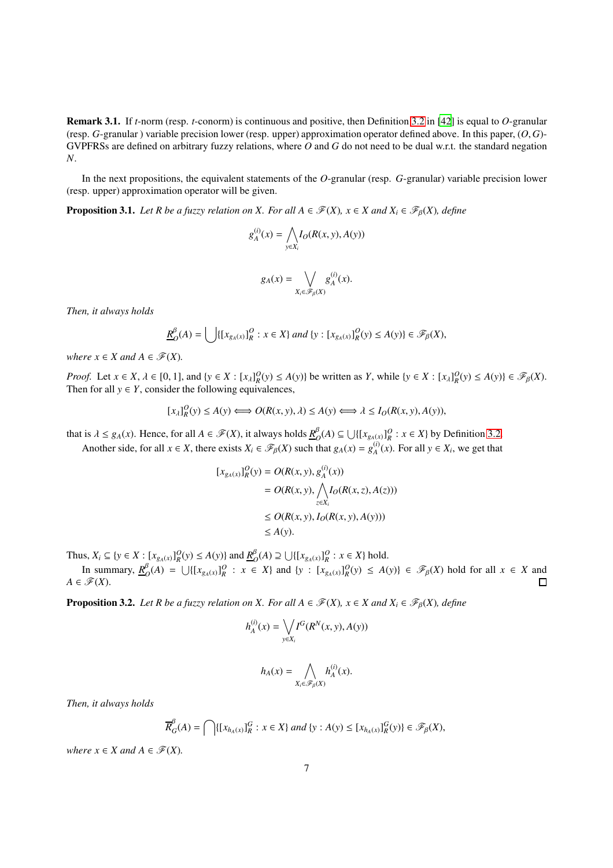Remark 3.1. If *t*-norm (resp. *t*-conorm) is continuous and positive, then Definition [3.2](#page-5-1) in [\[42\]](#page-23-15) is equal to *O*-granular (resp. *G*-granular ) variable precision lower (resp. upper) approximation operator defined above. In this paper, (*O*, *G*)- GVPFRSs are defined on arbitrary fuzzy relations, where *O* and *G* do not need to be dual w.r.t. the standard negation *N*.

In the next propositions, the equivalent statements of the *O*-granular (resp. *G*-granular) variable precision lower (resp. upper) approximation operator will be given.

<span id="page-6-1"></span>**Proposition 3.1.** *Let R be a fuzzy relation on X. For all A*  $\in \mathcal{F}(X)$ *, x*  $\in X$  *and*  $X_i \in \mathcal{F}_B(X)$ *, define* 

$$
g_A^{(i)}(x) = \bigwedge_{y \in X_i} I_O(R(x, y), A(y))
$$

$$
g_A(x) = \bigvee_{X_i \in \mathscr{F}_\beta(X)} g_A^{(i)}(x).
$$

*Then, it always holds*

$$
\underline{R}_{\mathcal{O}}^{\beta}(A) = \bigcup \{ [x_{g_A(x)}]_R^{\mathcal{O}} : x \in X \} \text{ and } \{ y : [x_{g_A(x)}]_R^{\mathcal{O}}(y) \le A(y) \} \in \mathcal{F}_{\beta}(X),
$$

*where*  $x \in X$  *and*  $A \in \mathcal{F}(X)$ *.* 

*Proof.* Let  $x \in X$ ,  $\lambda \in [0, 1]$ , and  $\{y \in X : [x_{\lambda}]^0_R(y) \le A(y)\}\$ be written as Y, while  $\{y \in X : [x_{\lambda}]^0_R(y) \le A(y)\}\in \mathcal{F}_{\beta}(X)$ . Then for all  $y \in Y$ , consider the following equivalences,

$$
[x_{\lambda}]_{R}^{0}(y) \le A(y) \Longleftrightarrow O(R(x, y), \lambda) \le A(y) \Longleftrightarrow \lambda \le I_{0}(R(x, y), A(y)),
$$

that is  $\lambda \le g_A(x)$ . Hence, for all  $A \in \mathscr{F}(X)$ , it always holds  $\underline{R}_C^{\beta}$  $O_O^B(A)$  ⊆ ∪{[ $x_{g_A(x)}$ ] $^O_R$  : *x* ∈ *X*} by Definition [3.2.](#page-5-1) Another side, for all  $x \in X$ , there exists  $X_i \in \mathcal{F}_{\beta}(X)$  such that  $g_A(x) = g_A^{(i)}(x)$ . For all  $y \in X_i$ , we get that

$$
[x_{g_A(x)}]_R^O(y) = O(R(x, y), g_A^{(i)}(x))
$$
  
=  $O(R(x, y), \bigwedge_{z \in X_i} I_O(R(x, z), A(z)))$   
 $\leq O(R(x, y), I_O(R(x, y), A(y)))$   
 $\leq A(y).$ 

Thus, *X*<sup>*i*</sup> ⊆ {*y* ∈ *X* : [ $x_{g_A(x)}$ ] $_Q^Q(y)$  ≤ *A*(*y*)} and  $\underline{R}_C^B$ *O*<sup>*B*</sup><sub>*O*</sub>(*A*) ⊇ ∪{[ $x_{g_A(x)}$ ]<sup>*Q*</sup> : *x* ∈ *X*} hold.

In summary, *R* β  $_{O}^{\beta}(A) = \bigcup \{ [x_{g_A(x)}]_R^O : x \in X \}$  and  $\{y : [x_{g_A(x)}]_R^O(y) \le A(y) \} \in \mathcal{F}_{\beta}(X)$  hold for all  $x \in X$  and  $A \in \mathscr{F}(X)$  $\Box$ 

<span id="page-6-0"></span>**Proposition 3.2.** *Let R be a fuzzy relation on X. For all A*  $\in \mathcal{F}(X)$ *, x*  $\in X$  *and*  $X_i \in \mathcal{F}_B(X)$ *, define* 

$$
h_A^{(i)}(x) = \bigvee_{y \in X_i} I^G(R^N(x, y), A(y))
$$

$$
h_A(x) = \bigwedge_{X_i \in \mathscr{F}_\beta(X)} h_A^{(i)}(x).
$$

*Then, it always holds*

$$
\overline{R}_{G}^{\beta}(A) = \bigcap \{ [x_{h_A(x)}]_R^G : x \in X \} \text{ and } \{y : A(y) \leq [x_{h_A(x)}]_R^G(y) \} \in \mathscr{F}_{\beta}(X),
$$

*where*  $x \in X$  *and*  $A \in \mathcal{F}(X)$ *.*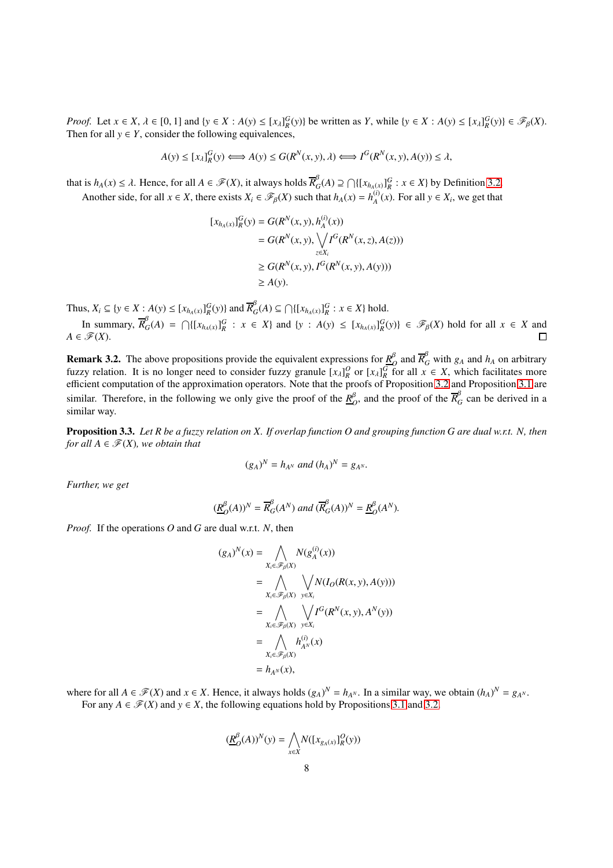*Proof.* Let  $x \in X$ ,  $\lambda \in [0, 1]$  and  $\{y \in X : A(y) \leq [x_{\lambda}]^G_R(y)\}$  be written as Y, while  $\{y \in X : A(y) \leq [x_{\lambda}]^G_R(y)\} \in \mathcal{F}_{\beta}(X)$ . Then for all  $y \in Y$ , consider the following equivalences,

$$
A(y) \le [x_{\lambda}]_R^G(y) \Longleftrightarrow A(y) \le G(R^N(x, y), \lambda) \Longleftrightarrow I^G(R^N(x, y), A(y)) \le \lambda,
$$

that is  $h_A(x) \leq \lambda$ . Hence, for all  $A \in \mathcal{F}(X)$ , it always holds  $\overline{R}_C^{\beta}$ *G*<sup>*P*</sup></sup>(*A*) ⊇  $\bigcap \{ [x_{h_A(x)}]_R^G : x \in X \}$  by Definition [3.2.](#page-5-1) Another side, for all  $x \in X$ , there exists  $X_i \in \mathcal{F}_{\beta}(X)$  such that  $h_A(x) = h_A^{(i)}(x)$ . For all  $y \in X_i$ , we get that

$$
[x_{h_A(x)}]_R^G(y) = G(R^N(x, y), h_A^{(i)}(x))
$$
  
=  $G(R^N(x, y), \sqrt{\int_{z \in X_i} f^G(R^N(x, z), A(z)))}$   
 $\geq G(R^N(x, y), I^G(R^N(x, y), A(y)))$   
 $\geq A(y).$ 

Thus,  $X_i \subseteq \{y \in X : A(y) \le [x_{h_A(x)}]_R^G(y)\}\$  and  $\overline{R}_G^{\beta}$ *G*(*A*) ⊆  $\bigcap \{ [x_{h_A(x)}]_R^G : x \in X \}$  hold.

In summary,  $\overline{R}_{0}^{\beta}$  ${}_{G}^{\beta}(A) = \bigcap \{ [x_{h_A(x)}]_R^G : x \in X \}$  and  $\{y : A(y) \leq [x_{h_A(x)}]_R^G(y) \} \in \mathcal{F}_{\beta}(X)$  hold for all  $x \in X$  and  $A \in \mathscr{F}(X)$ . П

<span id="page-7-1"></span>Remark 3.2. The above propositions provide the equivalent expressions for *R* β  $\frac{\beta}{\rho}$  and  $\overline{R}_{G}^{\beta}$  with  $g_A$  and  $h_A$  on arbitrary fuzzy relation. It is no longer need to consider fuzzy granule  $[x_\lambda]_R^O$  or  $[x_\lambda]_R^G$  for all  $x \in X$ , which facilitates more efficient computation of the approximation operators. Note that the proofs of Proposition [3.2](#page-6-0) and Proposition [3.1](#page-6-1) are similar. Therefore, in the following we only give the proof of the  $\frac{R}{C}$  $\frac{\beta}{\rho}$ , and the proof of the  $\overline{R}_{G}^{\beta}$  can be derived in a similar way.

<span id="page-7-0"></span>Proposition 3.3. *Let R be a fuzzy relation on X. If overlap function O and grouping function G are dual w.r.t. N, then for all*  $A \in \mathcal{F}(X)$ *, we obtain that* 

$$
(g_A)^N = h_{A^N}
$$
 and  $(h_A)^N = g_{A^N}$ .

*Further, we get*

$$
(\underline{R}^{\beta}_{O}(A))^N = \overline{R}^{\beta}_{G}(A^N) \text{ and } (\overline{R}^{\beta}_{G}(A))^N = \underline{R}^{\beta}_{O}(A^N).
$$

*Proof.* If the operations *O* and *G* are dual w.r.t. *N*, then

$$
(g_A)^N(x) = \bigwedge_{X_i \in \mathscr{F}_{\beta}(X)} N(g_A^{(i)}(x))
$$
  
\n
$$
= \bigwedge_{X_i \in \mathscr{F}_{\beta}(X)} \bigvee_{y \in X_i} N(I_O(R(x, y), A(y)))
$$
  
\n
$$
= \bigwedge_{X_i \in \mathscr{F}_{\beta}(X)} \bigvee_{y \in X_i} I^G(R^N(x, y), A^N(y))
$$
  
\n
$$
= \bigwedge_{X_i \in \mathscr{F}_{\beta}(X)} h_{A^N}^{(i)}(x)
$$
  
\n
$$
= h_{A^N}(x),
$$

where for all  $A \in \mathcal{F}(X)$  and  $x \in X$ . Hence, it always holds  $(g_A)^N = h_{A^N}$ . In a similar way, we obtain  $(h_A)^N = g_{A^N}$ . For any  $A \in \mathcal{F}(X)$  and  $y \in X$ , the following equations hold by Propositions [3.1](#page-6-1) and [3.2.](#page-6-0)

$$
(\underline{R}_{O}^{\beta}(A))^{N}(y)=\bigwedge_{x\in X}N([x_{g_{A}(x)}]_{R}^{O}(y))
$$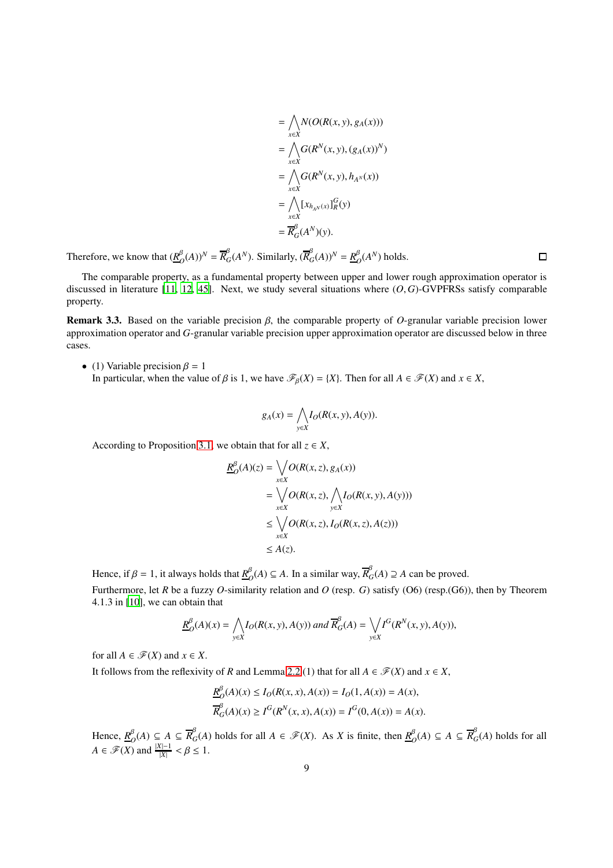$$
= \bigwedge_{x \in X} N(O(R(x, y), g_A(x)))
$$
  
\n
$$
= \bigwedge_{x \in X} G(R^N(x, y), (g_A(x))^N)
$$
  
\n
$$
= \bigwedge_{x \in X} G(R^N(x, y), h_{A^N}(x))
$$
  
\n
$$
= \bigwedge_{x \in X} [x_{h_{A^N}(x)}]_R^G(y)
$$
  
\n
$$
= \overline{R}_G^{\beta}(A^N)(y).
$$

Therefore, we know that  $(\underline{R}_{\ell}^{\beta})$  $\frac{\beta}{C}(A)$ <sup>*N*</sup> =  $\overline{R}_{G}^{\beta}(A^{N})$ . Similarly,  $(\overline{R}_{G}^{\beta}(A))^{N} = \underline{R}_{G}^{\beta}$  $O(A^N)$  holds.

The comparable property, as a fundamental property between upper and lower rough approximation operator is discussed in literature [\[11,](#page-23-35) [12](#page-23-36), [45](#page-23-37)]. Next, we study several situations where (*O*, *G*)-GVPFRSs satisfy comparable property.

Remark 3.3. Based on the variable precision β, the comparable property of *O*-granular variable precision lower approximation operator and *G*-granular variable precision upper approximation operator are discussed below in three cases.

• (1) Variable precision  $\beta = 1$ In particular, when the value of  $\beta$  is 1, we have  $\mathcal{F}_{\beta}(X) = \{X\}$ . Then for all  $A \in \mathcal{F}(X)$  and  $x \in X$ ,

$$
g_A(x) = \bigwedge_{y \in X} I_O(R(x, y), A(y)).
$$

According to Proposition [3.1,](#page-6-1) we obtain that for all  $z \in X$ ,

$$
\underline{R}_{O}^{\beta}(A)(z) = \bigvee_{x \in X} O(R(x, z), g_A(x))
$$
\n
$$
= \bigvee_{x \in X} O(R(x, z), \bigwedge_{y \in X} I_O(R(x, y), A(y)))
$$
\n
$$
\leq \bigvee_{x \in X} O(R(x, z), I_O(R(x, z), A(z)))
$$
\n
$$
\leq A(z).
$$

Hence, if  $\beta = 1$ , it always holds that  $R^{\beta}_{\beta}$  $O$ <sup>β</sup><sub>*O</sub>*(*A*) ⊆ *A*. In a similar way,  $\overline{R}$ <sup>β</sup><sub>*G*</sub></sub>  $_{G}^{\rho}(A)$  ⊇ *A* can be proved.

Furthermore, let *R* be a fuzzy *O*-similarity relation and *O* (resp. *G*) satisfy (O6) (resp.(G6)), then by Theorem 4.1.3 in [\[10](#page-23-9)], we can obtain that

$$
\underline{R}_{O}^{\beta}(A)(x) = \bigwedge_{y \in X} I_O(R(x, y), A(y)) \text{ and } \overline{R}_{G}^{\beta}(A) = \bigvee_{y \in X} I^G(R^N(x, y), A(y)),
$$

for all  $A \in \mathcal{F}(X)$  and  $x \in X$ .

It follows from the reflexivity of *R* and Lemma [2.2](#page-4-0) (1) that for all  $A \in \mathcal{F}(X)$  and  $x \in X$ ,

 $\overline{a}$ 

$$
\underline{R}_{O}^{\beta}(A)(x) \le I_{O}(R(x, x), A(x)) = I_{O}(1, A(x)) = A(x),
$$
  

$$
\overline{R}_{G}^{\beta}(A)(x) \ge I^{G}(R^{N}(x, x), A(x)) = I^{G}(0, A(x)) = A(x).
$$

Hence, *R* β  $O_O^{\beta}(A)$  ⊆ *A* ⊆  $\overline{R}_G^{\beta}(A)$  holds for all *A* ∈  $\mathscr{F}(X)$ . As *X* is finite, then  $\underline{R}_C^{\beta}(A)$  $O_O^{\beta}(A)$  ⊆ *A* ⊆  $\overline{R}_G^{\beta}(A)$  holds for all  $A \in \mathscr{F}(X)$  and  $\frac{|X|-1}{|X|} < \beta \leq 1$ .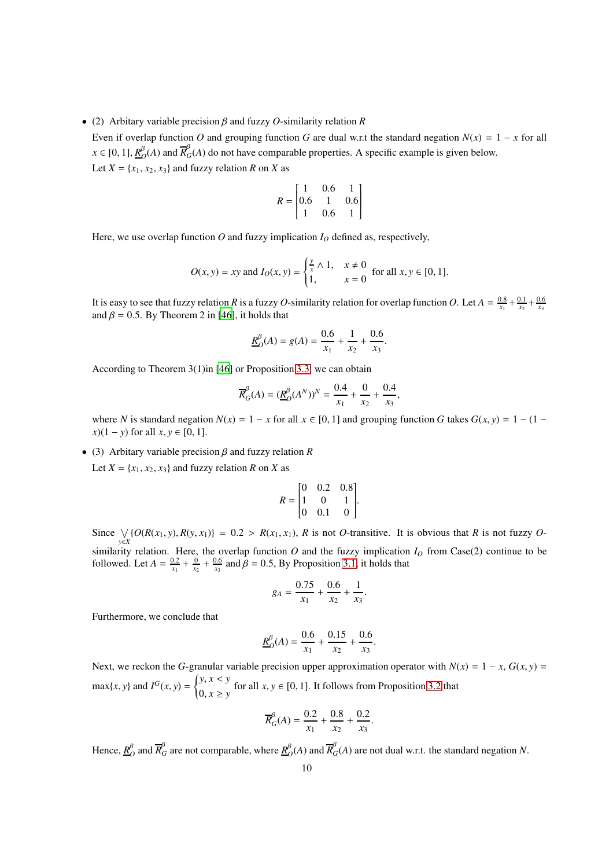• (2) Arbitary variable precision β and fuzzy *O*-similarity relation *R*

Even if overlap function *O* and grouping function *G* are dual w.r.t the standard negation  $N(x) = 1 - x$  for all  $x \in [0, 1], \frac{R^{\beta}}{R}$  $\frac{\beta}{2}(A)$  and  $\overline{R}_{G}^{\beta}(A)$  do not have comparable properties. A specific example is given below. Let  $X = \{x_1, x_2, x_3\}$  and fuzzy relation *R* on *X* as

$$
R = \begin{bmatrix} 1 & 0.6 & 1 \\ 0.6 & 1 & 0.6 \\ 1 & 0.6 & 1 \end{bmatrix}
$$

Here, we use overlap function  $O$  and fuzzy implication  $I_O$  defined as, respectively,

$$
O(x, y) = xy \text{ and } I_O(x, y) = \begin{cases} \frac{y}{x} \wedge 1, & x \neq 0 \\ 1, & x = 0 \end{cases} \text{ for all } x, y \in [0, 1].
$$

It is easy to see that fuzzy relation *R* is a fuzzy *O*-similarity relation for overlap function *O*. Let  $A = \frac{0.8}{x_1} + \frac{0.1}{x_2} + \frac{0.6}{x_3}$ and  $\beta = 0.5$ . By Theorem 2 in [\[46\]](#page-23-14), it holds that

$$
\underline{R}_O^{\beta}(A) = g(A) = \frac{0.6}{x_1} + \frac{1}{x_2} + \frac{0.6}{x_3}.
$$

According to Theorem 3(1)in [\[46\]](#page-23-14) or Proposition [3.3,](#page-7-0) we can obtain

$$
\overline{R}_{G}^{\beta}(A) = (\underline{R}_{O}^{\beta}(A^{N}))^{N} = \frac{0.4}{x_{1}} + \frac{0}{x_{2}} + \frac{0.4}{x_{3}},
$$

where *N* is standard negation  $N(x) = 1 - x$  for all  $x \in [0, 1]$  and grouping function *G* takes  $G(x, y) = 1 - (1$ *x*)(1 − *y*) for all *x*, *y* ∈ [0, 1].

• (3) Arbitary variable precision β and fuzzy relation *R* Let  $X = \{x_1, x_2, x_3\}$  and fuzzy relation *R* on *X* as

$$
R = \begin{bmatrix} 0 & 0.2 & 0.8 \\ 1 & 0 & 1 \\ 0 & 0.1 & 0 \end{bmatrix}.
$$

Since  $\bigvee_{y \in X} \{O(R(x_1, y), R(y, x_1))\} = 0.2 > R(x_1, x_1)$ , R is not O-transitive. It is obvious that R is not fuzzy Osimilarity relation. Here, the overlap function  $O$  and the fuzzy implication  $I_O$  from Case(2) continue to be followed. Let  $A = \frac{0.2}{x_1} + \frac{0}{x_2} + \frac{0.6}{x_3}$  and  $\beta = 0.5$ , By Proposition [3.1,](#page-6-1) it holds that

$$
g_A = \frac{0.75}{x_1} + \frac{0.6}{x_2} + \frac{1}{x_3}.
$$

Furthermore, we conclude that

$$
\underline{R}_{O}^{\beta}(A) = \frac{0.6}{x_1} + \frac{0.15}{x_2} + \frac{0.6}{x_3}.
$$

Next, we reckon the *G*-granular variable precision upper approximation operator with  $N(x) = 1 - x$ ,  $G(x, y) = 1 - x$  $\max\{x, y\}$  and  $I^G(x, y) = \begin{cases}$  $\overline{\mathcal{L}}$ *y*, *x* < *y* for all  $x, y \in [0, 1]$ . It follows from Proposition [3.2](#page-6-0) that  $0, x \ge y$ 

$$
\overline{R}_{G}^{\beta}(A) = \frac{0.2}{x_1} + \frac{0.8}{x_2} + \frac{0.2}{x_3}.
$$

Hence, *R* β  $\frac{\beta}{O}$  and  $\overline{R}_{G}^{\beta}$  are not comparable, where  $\underline{R}_{C}^{\beta}$  $\frac{\beta}{O}(A)$  and  $\overline{R}_{G}^{\beta}(A)$  are not dual w.r.t. the standard negation *N*.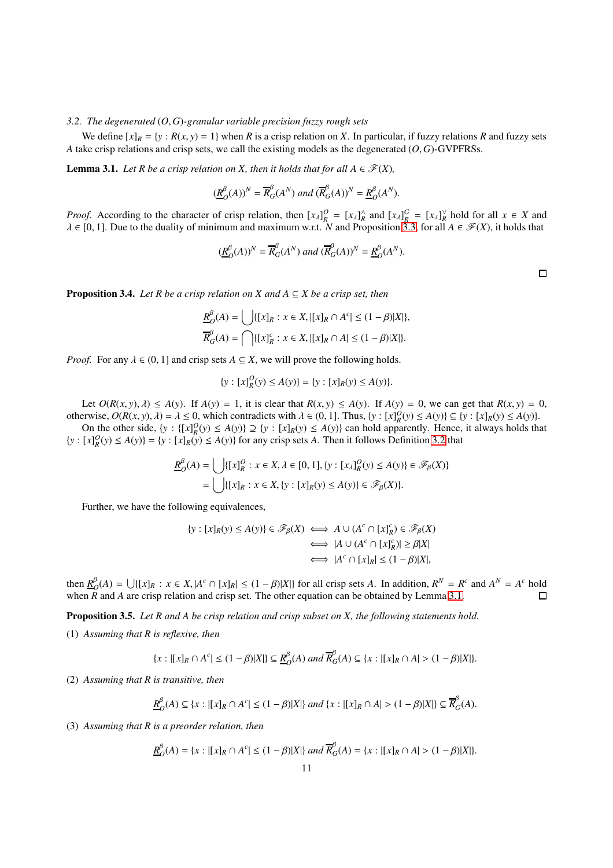# *3.2. The degenerated* (*O*, *G*)*-granular variable precision fuzzy rough sets*

We define  $[x]_R = \{y : R(x, y) = 1\}$  when *R* is a crisp relation on *X*. In particular, if fuzzy relations *R* and fuzzy sets *A* take crisp relations and crisp sets, we call the existing models as the degenerated (*O*, *G*)-GVPFRSs.

<span id="page-10-1"></span>**Lemma 3.1.** *Let R be a crisp relation on X, then it holds that for all*  $A \in \mathcal{F}(X)$ *,* 

$$
(\underline{R}_{O}^{\beta}(A))^{N} = \overline{R}_{G}^{\beta}(A^{N}) \text{ and } (\overline{R}_{G}^{\beta}(A))^{N} = \underline{R}_{O}^{\beta}(A^{N}).
$$

*Proof.* According to the character of crisp relation, then  $[x_\lambda]_R^O = [x_\lambda]_R^\wedge$  and  $[x_\lambda]_R^G = [x_\lambda]_R^\vee$  hold for all  $x \in X$  and  $\lambda \in [0, 1]$ . Due to the duality of minimum and maximum w.r.t. *N* and Proposition [3.3,](#page-7-0) for all  $A \in \mathcal{F}(X)$ , it holds that

$$
(\underline{R}_{O}^{\beta}(A))^{N} = \overline{R}_{G}^{\beta}(A^{N}) \text{ and } (\overline{R}_{G}^{\beta}(A))^{N} = \underline{R}_{O}^{\beta}(A^{N}).
$$

<span id="page-10-0"></span>**Proposition 3.4.** *Let R be a crisp relation on X and A*  $\subseteq$  *X be a crisp set, then* 

$$
\underline{R}_{\mathcal{O}}^{\beta}(A) = \bigcup \{ [x]_R : x \in X, |[x]_R \cap A^c| \le (1 - \beta)|X| \},\
$$

$$
\overline{R}_{G}^{\beta}(A) = \bigcap \{ [x]_R^c : x \in X, |[x]_R \cap A| \le (1 - \beta)|X| \}.
$$

*Proof.* For any  $\lambda \in (0, 1]$  and crisp sets  $A \subseteq X$ , we will prove the following holds.

$$
\{y : [x]_R^O(y) \le A(y)\} = \{y : [x]_R(y) \le A(y)\}.
$$

Let  $O(R(x, y), \lambda) \le A(y)$ . If  $A(y) = 1$ , it is clear that  $R(x, y) \le A(y)$ . If  $A(y) = 0$ , we can get that  $R(x, y) = 0$ , otherwise,  $O(R(x, y), \lambda) = \lambda \le 0$ , which contradicts with  $\lambda \in (0, 1]$ . Thus,  $\{y : [x]_R^O(y) \le A(y)\} \subseteq \{y : [x]_R(y) \le A(y)\}$ .

On the other side,  $\{y : \{[x]_R^O(y) \le A(y)\} \supseteq \{y : [x]_R(y) \le A(y)\}\$ can hold apparently. Hence, it always holds that  ${y : [x]_R^O(y) \le A(y)} = {y : [x]_R(y) \le A(y)}$  for any crisp sets *A*. Then it follows Definition [3.2](#page-6-0) that

$$
\underline{R}_{O}^{\beta}(A) = \bigcup \{ [x]_{R}^{O} : x \in X, \lambda \in [0, 1], \{y : [x_{\lambda}]_{R}^{O}(y) \le A(y)\} \in \mathcal{F}_{\beta}(X) \}
$$

$$
= \bigcup \{ [x]_{R} : x \in X, \{y : [x]_{R}(y) \le A(y)\} \in \mathcal{F}_{\beta}(X) \}.
$$

Further, we have the following equivalences,

$$
\{y : [x]_R(y) \le A(y)\} \in \mathscr{F}_{\beta}(X) \iff A \cup (A^c \cap [x]_R^c) \in \mathscr{F}_{\beta}(X)
$$

$$
\iff |A \cup (A^c \cap [x]_R^c)| \ge \beta |X|
$$

$$
\iff |A^c \cap [x]_R| \le (1 - \beta)|X|,
$$

then  $\underline{R}_{\ell}^{\beta}$  $_{O}^{\beta}(A) = \bigcup \{ [x]_R : x \in X, |A^c \cap [x]_R | \le (1 - \beta)|X| \}$  for all crisp sets A. In addition,  $R^N = R^c$  and  $A^N = A^c$  hold when *R* and *A* are crisp relation and crisp set. The other equation can be obtained by Lemma [3.1.](#page-6-1)  $\Box$ 

Proposition 3.5. *Let R and A be crisp relation and crisp subset on X, the following statements hold.*

(1) *Assuming that R is reflexive, then*

$$
\{x : |[x]_R \cap A^c| \le (1 - \beta)|X|\} \subseteq \underline{R}_{O}^{\beta}(A) \text{ and } \overline{R}_{G}^{\beta}(A) \subseteq \{x : |[x]_R \cap A| > (1 - \beta)|X|\}.
$$

(2) *Assuming that R is transitive, then*

$$
\underline{R}_{O}^{\beta}(A) \subseteq \{x : |[x]_{R} \cap A^{c}| \leq (1 - \beta)|X|\} \text{ and } \{x : |[x]_{R} \cap A| > (1 - \beta)|X|\} \subseteq \overline{R}_{G}^{\beta}(A).
$$

(3) *Assuming that R is a preorder relation, then*

$$
\underline{R}_{O}^{\beta}(A) = \{x : |[x]_{R} \cap A^{c}| \leq (1 - \beta)|X|\} \text{ and } \overline{R}_{G}^{\beta}(A) = \{x : |[x]_{R} \cap A| > (1 - \beta)|X|\}.
$$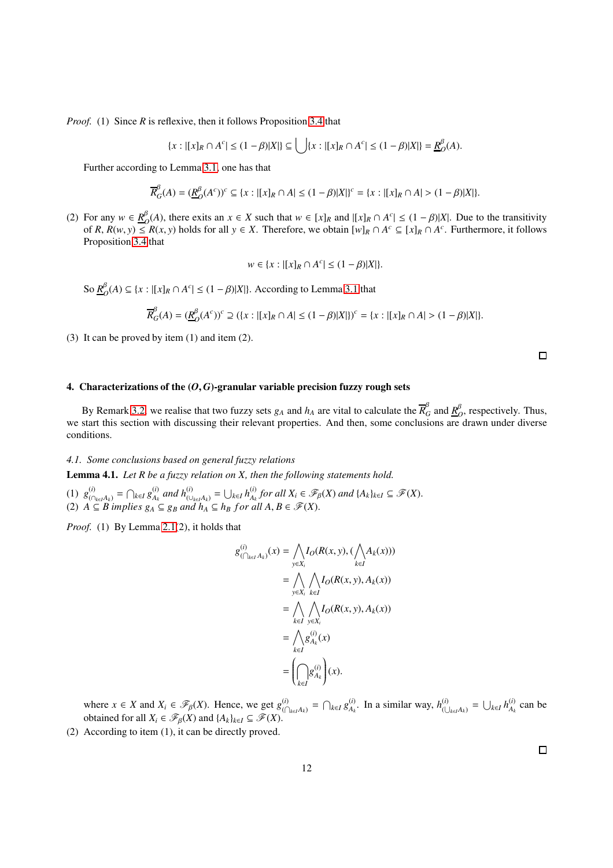*Proof.* (1) Since *R* is reflexive, then it follows Proposition [3.4](#page-10-0) that

$$
\{x : |[x]_R \cap A^c| \le (1 - \beta)|X|\} \subseteq \bigcup \{x : |[x]_R \cap A^c| \le (1 - \beta)|X|\} = \underline{R}_O^{\beta}(A).
$$

Further according to Lemma [3.1,](#page-10-1) one has that

$$
\overline{R}_{G}^{\beta}(A) = (\underline{R}_{O}^{\beta}(A^{c}))^{c} \subseteq \{x : |[x]_{R} \cap A| \leq (1 - \beta)|X|\}^{c} = \{x : |[x]_{R} \cap A| > (1 - \beta)|X|\}.
$$

(2) For any  $w \in \frac{R}{2}$ *O*(*A*), there exits an *x* ∈ *X* such that  $w \in [x]_R$  and  $|[x]_R \cap A^c| \leq (1 - \beta)|X|$ . Due to the transitivity of R,  $R(w, y) \le R(x, y)$  holds for all  $y \in X$ . Therefore, we obtain  $[w]_R \cap A^c \subseteq [x]_R \cap A^c$ . Furthermore, it follows Proposition [3.4](#page-10-0) that

$$
w \in \{x : |[x]_R \cap A^c| \leq (1 - \beta)|X|\}.
$$

So *R* β  $O_O^{\beta}(A)$  ⊆ {*x* : |[*x*]<sub>*R*</sub> ∩ *A<sup>c</sup>*| ≤ (1 −  $\beta$ )|*X*|}. According to Lemma [3.1](#page-10-1) that

$$
\overline{R}_{G}^{\beta}(A) = (\underline{R}_{O}^{\beta}(A^{c}))^{c} \supseteq (\{x : |[x]_{R} \cap A| \leq (1 - \beta)|X|\})^{c} = \{x : |[x]_{R} \cap A| > (1 - \beta)|X|\}.
$$

(3) It can be proved by item (1) and item (2).

 $\Box$ 

## 4. Characterizations of the  $(0, G)$ -granular variable precision fuzzy rough sets

By Remark [3.2,](#page-7-1) we realise that two fuzzy sets  $g_A$  and  $h_A$  are vital to calculate the  $\overline{R}_G^{\beta}$  and  $\underline{R}_C^{\beta}$  $\beta$ , respectively. Thus, we start this section with discussing their relevant properties. And then, some conclusions are drawn under diverse conditions.

### *4.1. Some conclusions based on general fuzzy relations*

<span id="page-11-0"></span>Lemma 4.1. *Let R be a fuzzy relation on X, then the following statements hold.*

 $g^{(i)}_{(\bigcap_{k \in I} A_k)} = \bigcap_{k \in I} g^{(i)}_{A_k}$ *(i*) *and*  $h_{(\cup_{k\in I} A_k)}^{(i)} = \bigcup_{k\in I} h_{A_k}^{(i)}$  $A_k$  *for all*  $X_i \in \mathscr{F}_{\beta}(X)$  *and*  $\{A_k\}_{k \in I} \subseteq \mathscr{F}(X)$ . (2)  $\hat{A} \subseteq \hat{B}$  *implies*  $g_A \subseteq g_B$  *and*  $h_A \subseteq h_B$  *for all*  $A, B \in \mathcal{F}(X)$ .

*Proof.* (1) By Lemma [2.1\(](#page-4-1)2), it holds that

$$
g_{(\bigcap_{k\in I}A_k)}^{(i)}(x) = \bigwedge_{y\in X_i} I_O(R(x,y), (\bigwedge_{k\in I}A_k(x)))
$$
  
\n
$$
= \bigwedge_{y\in X_i} \bigwedge_{k\in I} I_O(R(x,y), A_k(x))
$$
  
\n
$$
= \bigwedge_{k\in I} \bigwedge_{y\in X_i} I_O(R(x,y), A_k(x))
$$
  
\n
$$
= \bigwedge_{k\in I} g_{A_k}^{(i)}(x)
$$
  
\n
$$
= \left(\bigcap_{k\in I} g_{A_k}^{(i)}\right)(x).
$$

where  $x \in X$  and  $X_i \in \mathcal{F}_{\beta}(X)$ . Hence, we get  $g_{\beta}^{(i)}$  $\binom{(i)}{\left(\bigcap_{k \in I} A_k\right)}$  =  $\bigcap_{k \in I} g_{A_k}^{(i)}$  $A_k^{(i)}$ . In a similar way,  $h_{(i)}^{(i)}$  $\bigcup_{k \in I} A_k$  =  $\bigcup_{k \in I} h_{A_k}^{(i)}$  $A_k^{(l)}$  can be obtained for all  $X_i \in \mathcal{F}_B(X)$  and  $\{A_k\}_{k \in I} \subseteq \mathcal{F}(X)$ .

(2) According to item (1), it can be directly proved.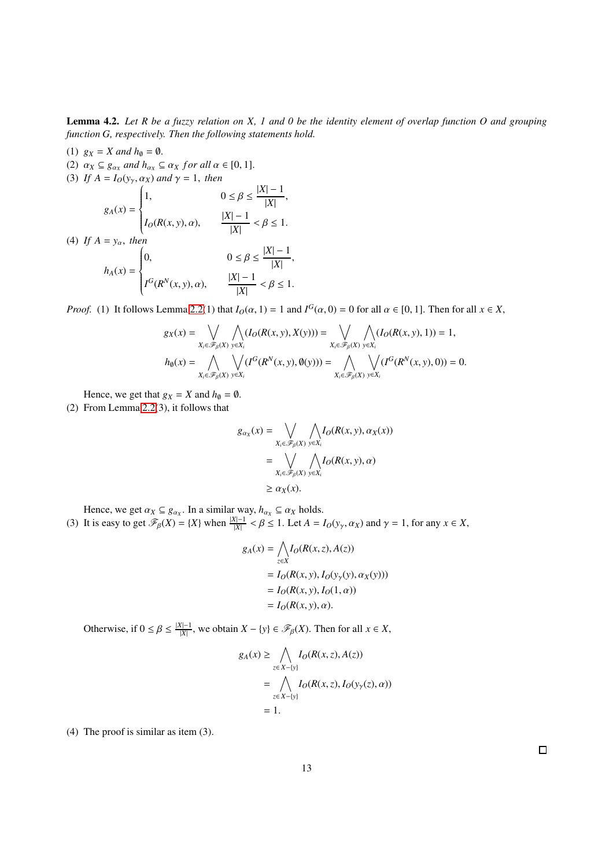<span id="page-12-0"></span>Lemma 4.2. *Let R be a fuzzy relation on X, 1 and 0 be the identity element of overlap function O and grouping function G, respectively. Then the following statements hold.*

(1) 
$$
g_X = X
$$
 and  $h_0 = 0$ .  
\n(2)  $\alpha_X \subseteq g_{\alpha_X}$  and  $h_{\alpha_X} \subseteq \alpha_X$  for all  $\alpha \in [0, 1]$ .  
\n(3) If  $A = I_O(y_\gamma, \alpha_X)$  and  $\gamma = 1$ , then  
\n
$$
g_A(x) = \begin{cases} 1, & 0 \le \beta \le \frac{|X| - 1}{|X|}, \\ I_O(R(x, y), \alpha), & \frac{|X| - 1}{|X|} < \beta \le 1. \end{cases}
$$
  
\n(4) If  $A = y_\alpha$ , then  
\n
$$
h_A(x) = \begin{cases} 0, & 0 \le \beta \le \frac{|X| - 1}{|X|}, \\ I^G(R^N(x, y), \alpha), & \frac{|X| - 1}{|X|} < \beta \le 1. \end{cases}
$$

*Proof.* (1) It follows Lemma [2.2\(](#page-4-0)1) that  $I_0(\alpha, 1) = 1$  and  $I^G(\alpha, 0) = 0$  for all  $\alpha \in [0, 1]$ . Then for all  $x \in X$ ,

$$
g_X(x) = \bigvee_{X_i \in \mathscr{F}_{\beta}(X)} \bigwedge_{y \in X_i} (I_O(R(x, y), X(y))) = \bigvee_{X_i \in \mathscr{F}_{\beta}(X)} \bigwedge_{y \in X_i} (I_O(R(x, y), 1)) = 1,
$$
  

$$
h_{\emptyset}(x) = \bigwedge_{X_i \in \mathscr{F}_{\beta}(X)} \bigvee_{y \in X_i} (I^G(R^N(x, y), \emptyset(y))) = \bigwedge_{X_i \in \mathscr{F}_{\beta}(X)} \bigvee_{y \in X_i} (I^G(R^N(x, y), 0)) = 0.
$$

Hence, we get that  $g_X = X$  and  $h_{\emptyset} = \emptyset$ .

(2) From Lemma [2.2\(](#page-4-0)3), it follows that

$$
g_{\alpha_X}(x) = \bigvee_{X_i \in \mathscr{F}_{\beta}(X)} \bigwedge_{y \in X_i} I_O(R(x, y), \alpha_X(x))
$$
  
= 
$$
\bigvee_{X_i \in \mathscr{F}_{\beta}(X)} \bigwedge_{y \in X_i} I_O(R(x, y), \alpha)
$$
  

$$
\geq \alpha_X(x).
$$

Hence, we get  $\alpha_X \subseteq g_{\alpha_X}$ . In a similar way,  $h_{\alpha_X} \subseteq \alpha_X$  holds.

(3) It is easy to get  $\mathcal{F}_{\beta}(X) = \{X\}$  when  $\frac{|X|-1}{|X|} < \beta \leq 1$ . Let  $A = I_O(y_\gamma, \alpha_X)$  and  $\gamma = 1$ , for any  $x \in X$ ,

$$
g_A(x) = \bigwedge_{z \in X} I_O(R(x, z), A(z))
$$
  
=  $I_O(R(x, y), I_O(y_\gamma(y), \alpha_X(y)))$   
=  $I_O(R(x, y), I_O(1, \alpha))$   
=  $I_O(R(x, y), \alpha)$ .

Otherwise, if  $0 \le \beta \le \frac{|X|-1}{|X|}$ , we obtain  $X - \{y\} \in \mathcal{F}_{\beta}(X)$ . Then for all  $x \in X$ ,

$$
g_A(x) \ge \bigwedge_{z \in X - \{y\}} I_O(R(x, z), A(z))
$$
  
= 
$$
\bigwedge_{z \in X - \{y\}} I_O(R(x, z), I_O(y_y(z), \alpha))
$$
  
= 1.

(4) The proof is similar as item (3).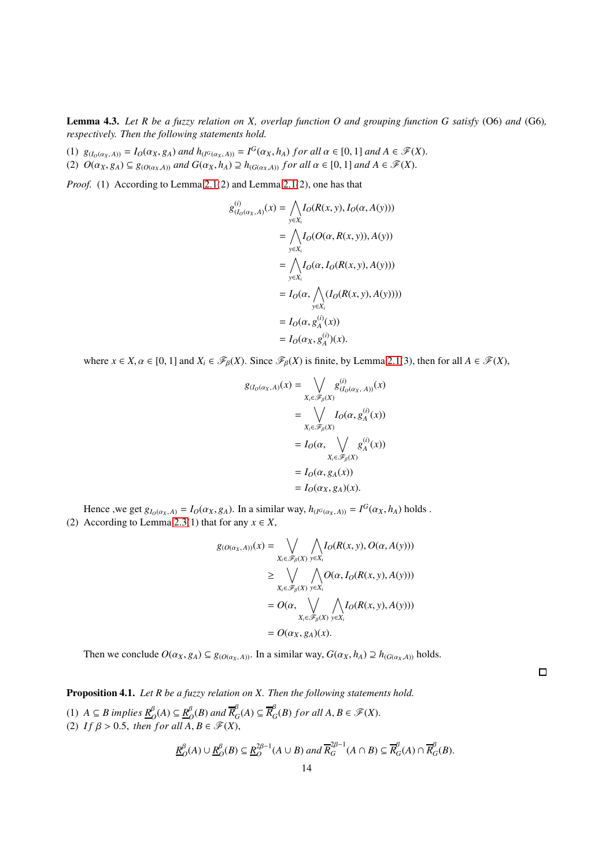<span id="page-13-0"></span>Lemma 4.3. *Let R be a fuzzy relation on X, overlap function O and grouping function G satisfy* (O6) *and* (G6)*, respectively. Then the following statements hold.*

(1)  $g_{(I_0(\alpha_X,A))} = I_0(\alpha_X, g_A)$  and  $h_{(I^G(\alpha_X,A))} = I^G(\alpha_X, h_A)$  for all  $\alpha \in [0,1]$  and  $A \in \mathscr{F}(X)$ .

(2)  $O(\alpha_X, g_A) \subseteq g_{(O(\alpha_X, A))}$  and  $G(\alpha_X, h_A) \supseteq h_{(G(\alpha_X, A))}$  for all  $\alpha \in [0, 1]$  and  $A \in \mathcal{F}(X)$ .

*Proof.* (1) According to Lemma [2.1\(](#page-4-1)2) and Lemma [2.1\(](#page-4-1)2), one has that

$$
g_{(I_O(\alpha_X, A)}^{(i)}(x) = \bigwedge_{y \in X_i} I_O(R(x, y), I_O(\alpha, A(y)))
$$
  
\n
$$
= \bigwedge_{y \in X_i} I_O(O(\alpha, R(x, y)), A(y))
$$
  
\n
$$
= \bigwedge_{y \in X_i} I_O(\alpha, I_O(R(x, y), A(y)))
$$
  
\n
$$
= I_O(\alpha, \bigwedge_{y \in X_i} (I_O(R(x, y), A(y))))
$$
  
\n
$$
= I_O(\alpha, g_A^{(i)}(x))
$$
  
\n
$$
= I_O(\alpha_X, g_A^{(i)})(x).
$$

where  $x \in X$ ,  $\alpha \in [0, 1]$  and  $X_i \in \mathcal{F}_{\beta}(X)$ . Since  $\mathcal{F}_{\beta}(X)$  is finite, by Lemma [2.1\(](#page-4-1)3), then for all  $A \in \mathcal{F}(X)$ ,

$$
g_{(I_O(\alpha_X, A)}(x) = \bigvee_{X_i \in \mathscr{F}_B(X)} g_{(I_O(\alpha_X, A))}^{(i)}(x)
$$
  
= 
$$
\bigvee_{X_i \in \mathscr{F}_B(X)} I_O(\alpha, g_A^{(i)}(x))
$$
  
= 
$$
I_O(\alpha, \bigvee_{X_i \in \mathscr{F}_B(X)} g_A^{(i)}(x))
$$
  
= 
$$
I_O(\alpha, g_A(x))
$$
  
= 
$$
I_O(\alpha_X, g_A)(x).
$$

Hence , we get  $g_{I_0(\alpha_X,A)} = I_0(\alpha_X, g_A)$ . In a similar way,  $h_{(I^G(\alpha_X,A))} = I^G(\alpha_X, h_A)$  holds. (2) According to Lemma [2.3\(](#page-4-2)1) that for any  $x \in X$ ,

$$
g_{(O(\alpha_X, A))}(x) = \bigvee_{X_i \in \mathscr{F}_{\beta}(X)} \bigwedge_{y \in X_i} I_O(R(x, y), O(\alpha, A(y)))
$$
  
\n
$$
\geq \bigvee_{X_i \in \mathscr{F}_{\beta}(X)} \bigwedge_{y \in X_i} O(\alpha, I_O(R(x, y), A(y)))
$$
  
\n
$$
= O(\alpha, \bigvee_{X_i \in \mathscr{F}_{\beta}(X)} \bigwedge_{y \in X_i} I_O(R(x, y), A(y)))
$$
  
\n
$$
= O(\alpha_X, g_A)(x).
$$

 $\Box$ 

Then we conclude  $O(\alpha_X, g_A) \subseteq g_{(O(\alpha_X, A))}$ . In a similar way,  $G(\alpha_X, h_A) \supseteq h_{(G(\alpha_X, A))}$  holds.

<span id="page-13-1"></span>Proposition 4.1. *Let R be a fuzzy relation on X. Then the following statements hold.*

(1) *A* ⊆ *B* implies  $\underline{R}^β_0$ (*A*) ⊆  $\underline{R}^β_0$  $\frac{\beta}{O}(B)$  and  $\overline{R}_{C}^{\beta}$  ${}^{\beta}$ <sub>*G*</sub>(*A*)  $\subseteq \overline{R}^{\beta}$  $_{G}^{\beta}(B)$  *for all*  $A, B \in \mathscr{F}(X)$ . (2) *If*  $\beta > 0.5$ , *then for all*  $\ddot{A}, B \in \mathscr{F}(X)$ ,

$$
\underline{R}_{O}^{\beta}(A) \cup \underline{R}_{O}^{\beta}(B) \subseteq \underline{R}_{O}^{2\beta-1}(A \cup B) \text{ and } \overline{R}_{G}^{2\beta-1}(A \cap B) \subseteq \overline{R}_{G}^{\beta}(A) \cap \overline{R}_{G}^{\beta}(B).
$$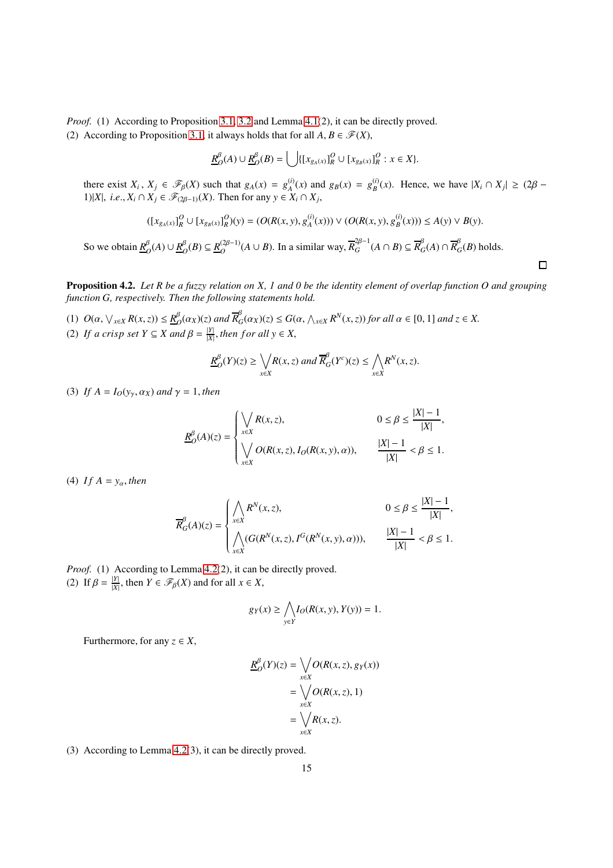*Proof.* (1) According to Proposition [3.1,](#page-6-1) [3.2](#page-6-0) and Lemma [4.1\(](#page-11-0)2), it can be directly proved. (2) According to Proposition [3.1,](#page-6-1) it always holds that for all  $A, B \in \mathcal{F}(X)$ ,

$$
\underline{R}_{O}^{\beta}(A) \cup \underline{R}_{O}^{\beta}(B) = \bigcup \{ [x_{g_A(x)}]_{R}^{O} \cup [x_{g_B(x)}]_{R}^{O} : x \in X \}.
$$

there exist  $X_i$ ,  $X_j \in \mathcal{F}_{\beta}(X)$  such that  $g_A(x) = g_A^{(i)}(x)$  and  $g_B(x) = g_B^{(i)}(x)$ . Hence, we have  $|X_i \cap X_j| \geq (2\beta - 1)$ 1)|*X*|, *i.e.*,  $X_i$  ∩  $X_j$  ∈  $\mathcal{F}_{(2\beta-1)}(X)$ . Then for any  $y \in X_i$  ∩  $X_j$ ,

$$
([x_{g_A(x)}]_R^O \cup [x_{g_B(x)}]_R^O)(y) = (O(R(x, y), g_A^{(i)}(x))) \vee (O(R(x, y), g_B^{(i)}(x))) \le A(y) \vee B(y).
$$

 $\Box$ 

So we obtain  $R_{\ell}^{\beta}$  $O$ <sup>β</sup><sub>*O*</sub>(*A*) ∪ <u>*R*<sup>β</sup><sub>*C*</sub></u>  $O$ <sup>*B*</sup> $O$ </sub> $(B)$  ⊆  $R$ <sup>(2β−1)</sup>  $O$ <sup>(2β−1)</sup>( $A$  ∪  $B$ ). In a similar way,  $\overline{R}_G^{2\beta-1}$  $_G^{2\beta-1}(A \cap B) \subseteq \overline{R}_C^{\beta}$  $\frac{\beta}{G}(A) \cap \overline{R}_{C}^{\beta}$  $G$ <sup> $\mathcal{C}$ </sup> $(B)$  holds.

<span id="page-14-0"></span>Proposition 4.2. *Let R be a fuzzy relation on X, 1 and 0 be the identity element of overlap function O and grouping function G, respectively. Then the following statements hold.*

(1)  $O(\alpha, \sqrt{x \in X} R(x, z)) \leq R_C^{\beta}$  $\frac{\beta}{O}(\alpha_X)(z)$  and  $\overline{R}_G^{\beta}$  $G_G(\alpha_X)(z) \leq G(\alpha, \bigwedge_{x \in X} R^N(x, z))$  *for all*  $\alpha \in [0, 1]$  *and*  $z \in X$ . (2) *If a crisp set*  $Y \subseteq X$  *and*  $\beta = \frac{|Y|}{|X|}$  $\frac{|Y|}{|X|}$ , *then for all*  $y \in X$ ,

$$
\underline{R}_{O}^{\beta}(Y)(z) \geq \bigvee_{x \in X} R(x, z) \text{ and } \overline{R}_{G}^{\beta}(Y^{c})(z) \leq \bigwedge_{x \in X} R^{N}(x, z).
$$

(3) *If*  $A = I_O(y_\gamma, \alpha_X)$  *and*  $\gamma = 1$ *, then* 

$$
\underline{R}_{O}^{\beta}(A)(z) = \begin{cases} \bigvee_{x \in X} R(x, z), & 0 \le \beta \le \frac{|X| - 1}{|X|}, \\ \bigvee_{x \in X} O(R(x, z), I_O(R(x, y), \alpha)), & \frac{|X| - 1}{|X|} < \beta \le 1. \end{cases}
$$

(4) If  $A = y_\alpha$ , *then* 

$$
\overline{R}_{G}^{\beta}(A)(z) = \begin{cases} \displaystyle\bigwedge_{x \in X} R^N(x,z), & 0 \leq \beta \leq \frac{|X|-1}{|X|}, \\ \displaystyle\bigwedge_{x \in X} (G(R^N(x,z),I^G(R^N(x,y),\alpha))), & \frac{|X|-1}{|X|} < \beta \leq 1. \end{cases}
$$

*Proof.* (1) According to Lemma [4.2\(](#page-12-0)2), it can be directly proved. (2) If  $\beta = \frac{|Y|}{|X|}$ , then  $Y \in \mathcal{F}_{\beta}(X)$  and for all  $x \in X$ ,

$$
g_Y(x) \ge \bigwedge_{y \in Y} I_O(R(x, y), Y(y)) = 1.
$$

Furthermore, for any  $z \in X$ ,

$$
\underline{R}_{\mathcal{O}}^{\beta}(Y)(z) = \bigvee_{x \in X} O(R(x, z), g_Y(x))
$$

$$
= \bigvee_{x \in X} O(R(x, z), 1)
$$

$$
= \bigvee_{x \in X} R(x, z).
$$

(3) According to Lemma [4.2\(](#page-12-0)3), it can be directly proved.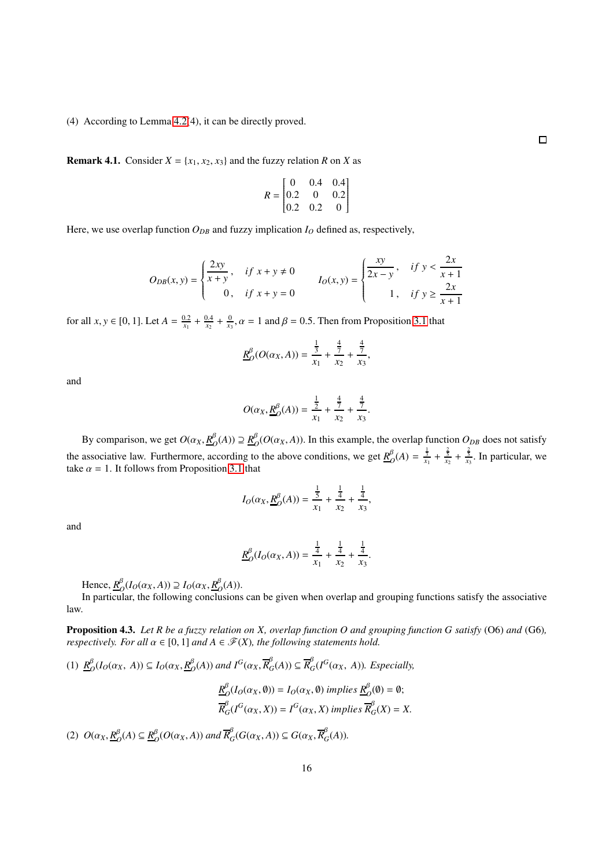(4) According to Lemma [4.2\(](#page-12-0)4), it can be directly proved.

<span id="page-15-0"></span>**Remark 4.1.** Consider  $X = \{x_1, x_2, x_3\}$  and the fuzzy relation *R* on *X* as

$$
R = \begin{bmatrix} 0 & 0.4 & 0.4 \\ 0.2 & 0 & 0.2 \\ 0.2 & 0.2 & 0 \end{bmatrix}
$$

Here, we use overlap function  $O_{DB}$  and fuzzy implication  $I_O$  defined as, respectively,

$$
O_{DB}(x, y) = \begin{cases} \frac{2xy}{x+y}, & \text{if } x+y \neq 0 \\ 0, & \text{if } x+y = 0 \end{cases} \qquad I_O(x, y) = \begin{cases} \frac{xy}{2x-y}, & \text{if } y < \frac{2x}{x+1} \\ 1, & \text{if } y \ge \frac{2x}{x+1} \end{cases}
$$

for all  $x, y \in [0, 1]$ . Let  $A = \frac{0.2}{x_1} + \frac{0.4}{x_2} + \frac{0}{x_3}$ ,  $\alpha = 1$  and  $\beta = 0.5$ . Then from Proposition [3.1](#page-6-1) that

$$
\underline{R}_O^{\beta}(O(\alpha_X,A)) = \frac{\frac{1}{3}}{x_1} + \frac{\frac{4}{7}}{x_2} + \frac{\frac{4}{7}}{x_3},
$$

and

$$
O(\alpha_X, \underline{R}^{\beta}_O(A)) = \frac{\frac{1}{2}}{x_1} + \frac{\frac{4}{7}}{x_2} + \frac{\frac{4}{7}}{x_3}.
$$

By comparison, we get  $O(\alpha_X, \underline{R}_C^{\beta})$  $O$ <sup>β</sup><sub> $O$ </sub>(A)) ⊇  $R$ <sup>β</sup><sub> $C$ </sub>  $O_O^{\beta}(O(\alpha_X, A))$ . In this example, the overlap function  $O_{DB}$  does not satisfy the associative law. Furthermore, according to the above conditions, we get  $R^{\beta}_{\alpha}$  $O(A) = \frac{1}{x_1} + \frac{2}{x_2} + \frac{2}{x_3}$ . In particular, we take  $\alpha = 1$ . It follows from Proposition [3.1](#page-6-1) that

$$
I_O(\alpha_X, \underline{R}^{\beta}_O(A)) = \frac{\frac{1}{5}}{x_1} + \frac{\frac{1}{4}}{x_2} + \frac{\frac{1}{4}}{x_3},
$$

and

$$
\underline{R}_O^{\beta}(I_O(\alpha_X, A)) = \frac{\frac{1}{4}}{x_1} + \frac{\frac{1}{4}}{x_2} + \frac{\frac{1}{4}}{x_3}.
$$

Hence, *R* β  $O_O(I_O(\alpha_X, A)) \supseteq I_O(\alpha_X, \underline{R}_C^{\beta})$  $O<sup>\beta</sup>(A)$ ).

In particular, the following conclusions can be given when overlap and grouping functions satisfy the associative law.

<span id="page-15-1"></span>Proposition 4.3. *Let R be a fuzzy relation on X, overlap function O and grouping function G satisfy* (O6) *and* (G6)*, respectively. For all*  $\alpha \in [0, 1]$  *and*  $A \in \mathcal{F}(X)$ *, the following statements hold.* 

(1) 
$$
\underline{R}_{O}^{\beta}(I_O(\alpha_X, A)) \subseteq I_O(\alpha_X, \underline{R}_{O}^{\beta}(A))
$$
 and  $I^G(\alpha_X, \overline{R}_{G}^{\beta}(A)) \subseteq \overline{R}_{G}^{\beta}(I^G(\alpha_X, A))$ . Especially,

$$
\begin{aligned} \underline{R}_{O}^{\beta}(I_O(\alpha_X, \emptyset)) &= I_O(\alpha_X, \emptyset) \ implies \ \underline{R}_{O}^{\beta}(\emptyset) = \emptyset; \\ \overline{R}_{G}^{\beta}(I^G(\alpha_X, X)) &= I^G(\alpha_X, X) \ implies \ \overline{R}_{G}^{\beta}(X) = X. \end{aligned}
$$

(2)  $O(\alpha_X, \underline{R}_0^{\beta})$  $O(A) \subseteq R_C^{\beta}$  $\frac{\beta}{O}(O(\alpha_X, A))$  and  $\overline{R}_G^{\beta}(G(\alpha_X, A)) \subseteq G(\alpha_X, \overline{R}_G^{\beta}(A))$ .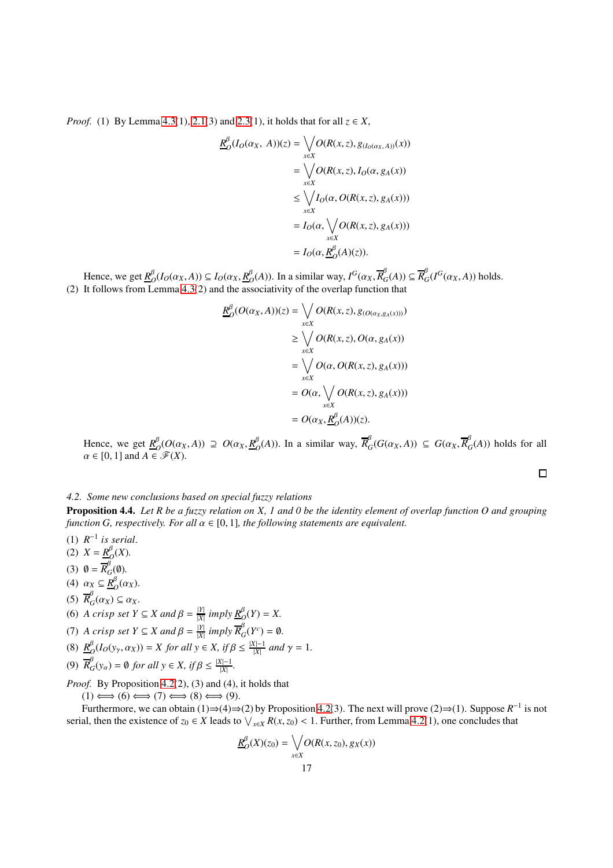*Proof.* (1) By Lemma [4.3\(](#page-13-0)1), [2.1\(](#page-4-1)3) and [2.3\(](#page-4-2)1), it holds that for all  $z \in X$ ,

$$
\underline{R}_{O}^{\beta}(I_{O}(\alpha_{X}, A))(z) = \bigvee_{x \in X} O(R(x, z), g_{(I_{O}(\alpha_{X}, A))}(x))
$$
\n
$$
= \bigvee_{x \in X} O(R(x, z), I_{O}(\alpha, g_{A}(x)))
$$
\n
$$
\leq \bigvee_{x \in X} I_{O}(\alpha, O(R(x, z), g_{A}(x)))
$$
\n
$$
= I_{O}(\alpha, \bigvee_{x \in X} O(R(x, z), g_{A}(x)))
$$
\n
$$
= I_{O}(\alpha, \underbrace{R}_{O}^{\beta}(A)(z)).
$$

Hence, we get *R* β  $O_O(I_O(\alpha_X, A)) \subseteq I_O(\alpha_X, \underline{R}_C^{\beta})$  $O_D^{\beta}(A)$ ). In a similar way,  $I^G(\alpha_X, \overline{R}_{G}^{\beta})$  ${}^{\beta}$ <sub>*G*</sub>(*A*))  $\subseteq \overline{R}^{\beta}$  $_{G}^{P}(I^{G}(\alpha_{X}, A))$  holds. (2) It follows from Lemma [4.3\(](#page-13-0)2) and the associativity of the overlap function that

$$
\underline{R}_{O}^{\beta}(O(\alpha_{X}, A))(z) = \bigvee_{x \in X} O(R(x, z), g_{(O(\alpha_{X}, g_{A}(x))))})
$$
\n
$$
\geq \bigvee_{x \in X} O(R(x, z), O(\alpha, g_{A}(x)))
$$
\n
$$
= \bigvee_{x \in X} O(\alpha, O(R(x, z), g_{A}(x)))
$$
\n
$$
= O(\alpha, \bigvee_{x \in X} O(R(x, z), g_{A}(x)))
$$
\n
$$
= O(\alpha_{X}, \underline{R}_{O}^{\beta}(A))(z).
$$

Hence, we get  $\underline{R}^{\beta}_{\ell}$  $O(O(\alpha_X, A)) \supseteq O(\alpha_X, \underline{R}_C^{\beta})$  $O_{O}^{B}(A)$ ). In a similar way,  $\overline{R}_{O}^{\beta}$  $G_G(G(\alpha_X, A)) \subseteq G(\alpha_X, \overline{R}_G^{\beta})$  $G$ <sup> $\alpha$ </sup>(*A*)) holds for all  $\alpha \in [0, 1]$  and  $A \in \mathscr{F}(X)$ .

 $\Box$ 

#### *4.2. Some new conclusions based on special fuzzy relations*

<span id="page-16-0"></span>Proposition 4.4. *Let R be a fuzzy relation on X, 1 and 0 be the identity element of overlap function O and grouping function G, respectively. For all*  $\alpha \in [0, 1]$ *, the following statements are equivalent.* 

- $(1)$   $R^{-1}$  is serial.
- (2)  $X = R_f^{\beta}$  $O<sup>\beta</sup>$ <sub>O</sub> $(X)$ .
- (3)  $\mathbf{0} = \overline{R}_{G}^{\beta}(\mathbf{0}).$
- (4)  $\alpha_X \subseteq \underline{R}_C^{\beta}$  $O<sub>O</sub>(\alpha_X)$ .
- (5)  $\overline{R}_{G}^{\beta}$  $C_G(\alpha_X) \subseteq \alpha_X$ .
- (6) *A crisp set*  $Y \subseteq X$  *and*  $\beta = \frac{|Y|}{|X|}$  *imply*  $\underline{R}^{\beta}_O(Y) = X$ .

(7) A crisp set 
$$
Y \subseteq X
$$
 and  $\beta = \frac{|Y|}{|X|}$  imply  $\overline{R}_G^{\beta}(Y^c) = \emptyset$ .

- (8)  $\underline{R}^{\beta}$  $O(D(y_\gamma, \alpha_X)) = X$  *for all*  $y \in X$ *, if*  $\beta \leq \frac{|X|-1}{|X|}$  *and*  $\gamma = 1$ *.*
- (9)  $\overline{R}_{G}^{\beta}(y_{\alpha}) = \emptyset$  *for all*  $y \in X$ *, if*  $\beta \leq \frac{|X|-1}{|X|}$ *.*

*Proof.* By Proposition [4.2\(](#page-14-0)2), (3) and (4), it holds that

 $(1) \Longleftrightarrow (6) \Longleftrightarrow (7) \Longleftrightarrow (8) \Longleftrightarrow (9).$ 

Furthermore, we can obtain (1) $\Rightarrow$ (4) $\Rightarrow$ (2) by Proposition [4.2\(](#page-14-0)3). The next will prove (2) $\Rightarrow$ (1). Suppose  $R^{-1}$  is not serial, then the existence of  $z_0 \in X$  leads to  $\bigvee_{x \in X} R(x, z_0) < 1$ . Further, from Lemma [4.2\(](#page-12-0)1), one concludes that

$$
\underline{R}_{O}^{\beta}(X)(z_0) = \bigvee_{x \in X} O(R(x, z_0), g_X(x))
$$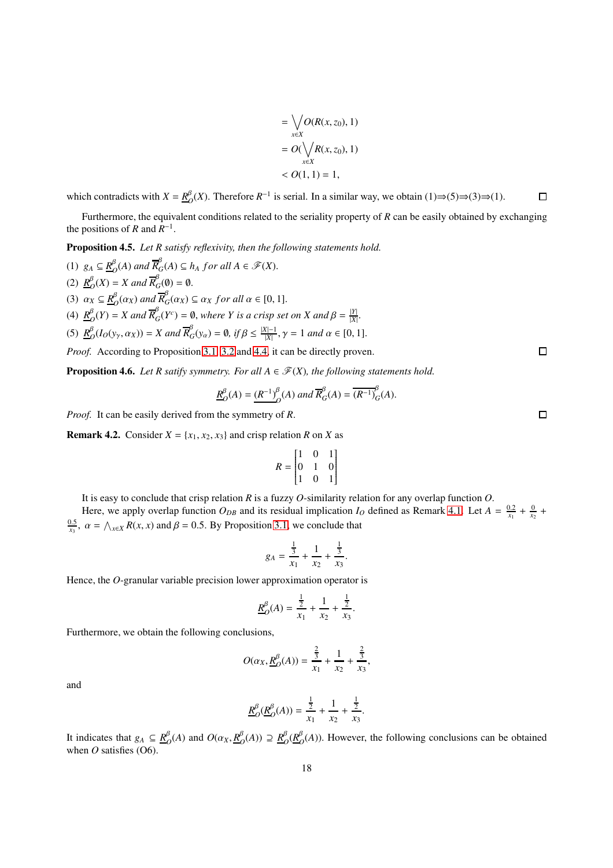$$
= \bigvee_{x \in X} O(R(x, z_0), 1)
$$
  
=  $O(\bigvee_{x \in X} R(x, z_0), 1)$   
<  $O(1, 1) = 1$ ,

which contradicts with  $X = \frac{R}{C}$  $O<sub>O</sub><sup>\beta</sup>(X)$ . Therefore  $R<sup>-1</sup>$  is serial. In a similar way, we obtain (1)⇒(5)⇒(3)⇒(1).  $\Box$ 

Furthermore, the equivalent conditions related to the seriality property of *R* can be easily obtained by exchanging the positions of *R* and  $R^{-1}$ .

<span id="page-17-0"></span>Proposition 4.5. *Let R satisfy reflexivity, then the following statements hold.*

(1)  $g_A \subseteq \underline{R}_C^{\beta}$  $\mathcal{B}_{\mathcal{O}}(A)$  and  $\overline{R}_{\mathcal{G}}^{\beta}(A) \subseteq h_A$  for all  $A \in \mathscr{F}(X)$ . (2)  $\underline{R}^{\beta}$  $\mathcal{L}_O(K) = X$  and  $\overline{R}_G^{\beta}(\emptyset) = \emptyset$ . (3)  $\alpha_X \subseteq \underline{R}_C^{\beta}$  $\frac{\beta}{O}(\alpha_X)$  and  $\overline{R}_O^{\beta}$  $G^{\circ}(a_X) \subseteq a_X$  *for all*  $\alpha \in [0, 1].$ (4)  $\underline{R}^{\beta}$  $O_O(P) = X$  and  $\overline{R}_O^{\beta}$  $G^{B}_{G}(Y^{c}) = \emptyset$ , *where Y* is a crisp set on *X* and  $\beta = \frac{|Y|}{|X|}$  $\frac{|Y|}{|X|}$ . (5)  $\underline{R}^{\beta}$  $\frac{\beta}{\beta}(I_O(y_\gamma,\alpha_X)) = X$  and  $\overline{R}_G^{\beta}(y_\alpha) = \emptyset$ , if  $\beta \le \frac{|X|-1}{|X|}$ ,  $\gamma = 1$  and  $\alpha \in [0, 1]$ . *Proof.* According to Proposition [3.1,](#page-6-1) [3.2](#page-6-0) and [4.4,](#page-16-0) it can be directly proven.

**Proposition 4.6.** *Let R satify symmetry. For all*  $A \in \mathcal{F}(X)$ *, the following statements hold.* 

$$
\underline{R}^{\beta}_{O}(A) = \underline{(R^{-1})}^{\beta}_{O}(A) \text{ and } \overline{R}^{\beta}_{G}(A) = \overline{(R^{-1})}^{\beta}_{G}(A).
$$

*Proof.* It can be easily derived from the symmetry of *R*.

**Remark 4.2.** Consider  $X = \{x_1, x_2, x_3\}$  and crisp relation *R* on *X* as

$$
R = \begin{bmatrix} 1 & 0 & 1 \\ 0 & 1 & 0 \\ 1 & 0 & 1 \end{bmatrix}
$$

It is easy to conclude that crisp relation *R* is a fuzzy *O*-similarity relation for any overlap function *O*.

Here, we apply overlap function  $O_{DB}$  and its residual implication  $I_O$  defined as Remark [4.1.](#page-15-0) Let  $A = \frac{0.2}{x_1} + \frac{0}{x_2} + \frac{0}{x_3}$  $\frac{0.5}{x_3}$ ,  $\alpha = \bigwedge_{x \in X} R(x, x)$  and  $\beta = 0.5$ . By Proposition [3.1,](#page-6-1) we conclude that

$$
g_A = \frac{\frac{1}{3}}{x_1} + \frac{1}{x_2} + \frac{\frac{1}{3}}{x_3}.
$$

Hence, the *O*-granular variable precision lower approximation operator is

$$
\underline{R}_O^{\beta}(A) = \frac{\frac{1}{2}}{x_1} + \frac{1}{x_2} + \frac{\frac{1}{2}}{x_3}.
$$

Furthermore, we obtain the following conclusions,

$$
O(\alpha_X, \underline{R}^{\beta}_O(A)) = \frac{\frac{2}{3}}{x_1} + \frac{1}{x_2} + \frac{\frac{2}{3}}{x_3},
$$

and

$$
\underline{R}_O^{\beta}(\underline{R}_O^{\beta}(A)) = \frac{\frac{1}{2}}{x_1} + \frac{1}{x_2} + \frac{\frac{1}{2}}{x_3}.
$$

It indicates that  $g_A \subseteq R^{\beta}_G$  $O(Q)$  and  $O(\alpha_X, \underline{R}_C^{\beta})$  $\frac{\beta}{O}(A)$ ) ⊇  $\frac{R^{\beta}}{O}$  $o^{\beta}$ <sub> $O$ </sub> $(\underline{R}_{\mathcal{C}}^{\beta}$  $O<sub>O</sub>(A)$ ). However, the following conclusions can be obtained when *O* satisfies (O6).

 $\Box$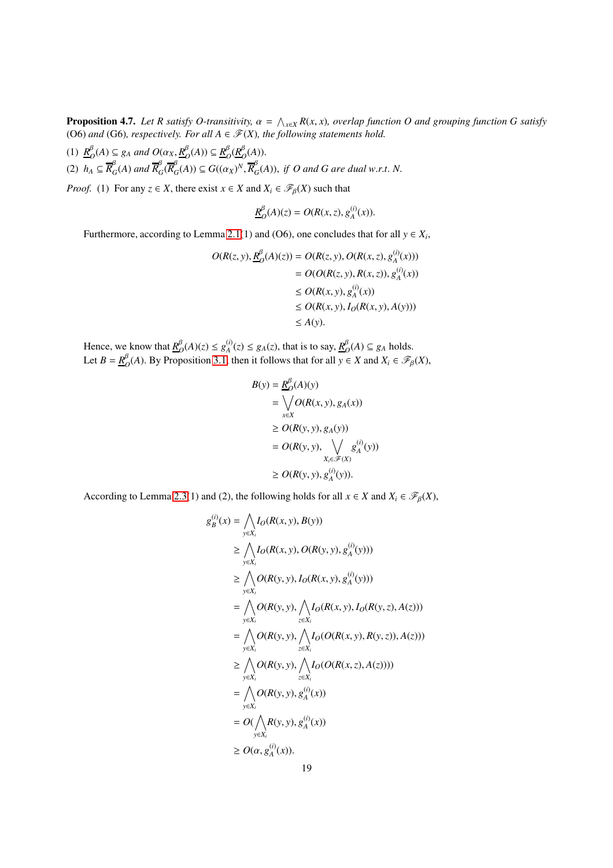<span id="page-18-0"></span>**Proposition 4.7.** Let R satisfy O-transitivity,  $\alpha = \bigwedge_{x \in X} R(x, x)$ , overlap function O and grouping function G satisfy (O6) and (G6), respectively. For all  $A \in \mathcal{F}(X)$ , the following statements hold.

(1)  $\underline{R}^{\beta}$  $O_Q(A) \subseteq g_A$  *and*  $O(\alpha_X, \underline{R}_C^{\beta})$  $O_P^{\beta}(A)) \subseteq R_C^{\beta}$  $o^{\beta}$ <sub> $O$ </sub> $(\underline{R}_{\mathcal{C}}^{\beta}$  $O<sup>\rho</sup><sub>\mathcal{O}}(A)).</sub>$ (2)  $h_A \subseteq \overline{R}_G^{\beta}$  $^{\beta}_{G}(A)$  and  $\overline{R}_{G}^{\beta}$  ${}^{\beta}_{G}$ ( $\overline{R}_{G}^{\beta}$  $G(G(A)) \subseteq G((\alpha_X)^N, \overline{R}_G^{\beta})$  $G<sub>G</sub>(A)$ ), *if O and G are dual w.r.t. N.* 

*Proof.* (1) For any  $z \in X$ , there exist  $x \in X$  and  $X_i \in \mathcal{F}_{\beta}(X)$  such that

$$
\underline{R}_O^{\beta}(A)(z) = O(R(x, z), g_A^{(i)}(x)).
$$

Furthermore, according to Lemma [2.1\(](#page-4-1)1) and (O6), one concludes that for all  $y \in X_i$ ,

$$
O(R(z, y), \underline{R}_{O}^{\beta}(A)(z)) = O(R(z, y), O(R(x, z), g_A^{(i)}(x)))
$$
  
=  $O(O(R(z, y), R(x, z)), g_A^{(i)}(x))$   
 $\leq O(R(x, y), g_A^{(i)}(x))$   
 $\leq O(R(x, y), I_O(R(x, y), A(y)))$   
 $\leq A(y).$ 

Hence, we know that  $R_{\ell}^{\beta}$  $O_O^{\beta}(A)(z) \le g_A^{(i)}(z) \le g_A(z)$ , that is to say,  $\underline{R}_C^{\beta}$  $O<sup>B</sup>$  *O*(*A*) ⊆ *g<sub>A</sub>* holds. Let  $B = \frac{R^{\beta}}{A}$  $O_{O}(A)$ . By Proposition [3.1,](#page-6-1) then it follows that for all *y* ∈ *X* and *X<sub>i</sub>* ∈  $\mathscr{F}_{\beta}(X)$ ,

$$
B(y) = \frac{R_0^{\beta}(A)(y)}{\sum_{x \in X} P(B(x, y), g_A(x))}
$$
  
\n
$$
\geq O(R(y, y), g_A(y))
$$
  
\n
$$
= O(R(y, y), \sqrt{\frac{g_0^{(i)}(y)}{g_A^{(i)}(y)}})
$$
  
\n
$$
\geq O(R(y, y), g_A^{(i)}(y)).
$$

According to Lemma [2.3\(](#page-4-2)1) and (2), the following holds for all  $x \in X$  and  $X_i \in \mathcal{F}_{\beta}(X)$ ,

$$
g_B^{(i)}(x) = \bigwedge_{y \in X_i} I_O(R(x, y), B(y))
$$
  
\n
$$
\geq \bigwedge_{y \in X_i} I_O(R(x, y), O(R(y, y), g_A^{(i)}(y)))
$$
  
\n
$$
\geq \bigwedge_{y \in X_i} O(R(y, y), I_O(R(x, y), g_A^{(i)}(y)))
$$
  
\n
$$
= \bigwedge_{y \in X_i} O(R(y, y), \bigwedge_{z \in X_i} I_O(R(x, y), I_O(R(y, z), A(z)))
$$
  
\n
$$
= \bigwedge_{y \in X_i} O(R(y, y), \bigwedge_{z \in X_i} I_O(O(R(x, y), R(y, z)), A(z)))
$$
  
\n
$$
\geq \bigwedge_{y \in X_i} O(R(y, y), \bigwedge_{z \in X_i} I_O(O(R(x, z), A(z))))
$$
  
\n
$$
= \bigwedge_{y \in X_i} O(R(y, y), g_A^{(i)}(x))
$$
  
\n
$$
= O(\bigwedge_{y \in X_i} R(y, y), g_A^{(i)}(x))
$$
  
\n
$$
\geq O(\alpha, g_A^{(i)}(x)).
$$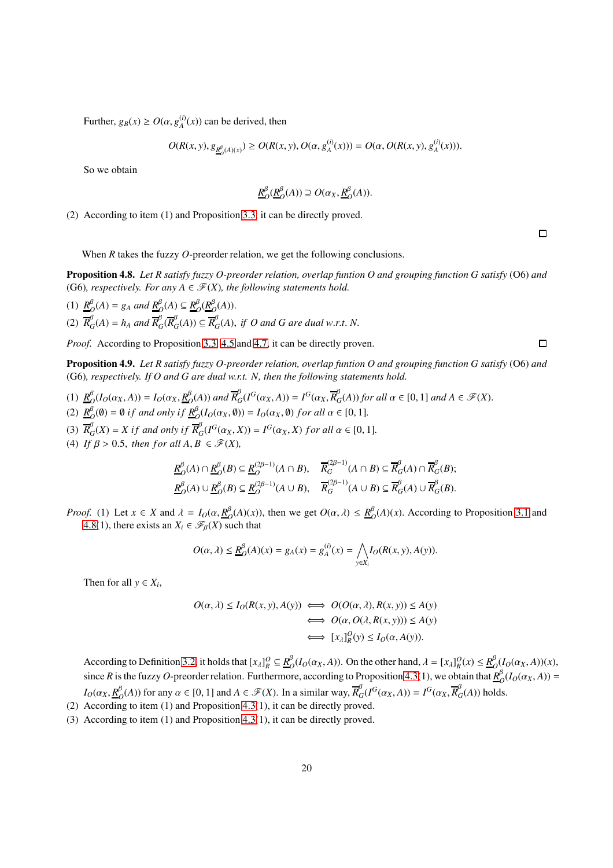Further,  $g_B(x) \ge O(\alpha, g_A^{(i)}(x))$  can be derived, then

$$
O(R(x, y), g_{\underline{R}_{0}^{\beta}(A)(x)}) \ge O(R(x, y), O(\alpha, g_{A}^{(i)}(x))) = O(\alpha, O(R(x, y), g_{A}^{(i)}(x))).
$$

So we obtain

$$
\underline{R}^{\beta}_{O}(\underline{R}^{\beta}_{O}(A)) \supseteq O(\alpha_{X}, \underline{R}^{\beta}_{O}(A)).
$$

(2) According to item (1) and Proposition [3.3,](#page-7-0) it can be directly proved.

 $\Box$ 

 $\Box$ 

When *R* takes the fuzzy *O*-preorder relation, we get the following conclusions.

<span id="page-19-0"></span>Proposition 4.8. *Let R satisfy fuzzy O-preorder relation, overlap funtion O and grouping function G satisfy* (O6) *and* (G6), respectively. For any  $A \in \mathcal{F}(X)$ , the following statements hold.

(1)  $\underline{R}^{\beta}$  $\frac{\beta}{O}(A) = g_A$  and  $\underline{R}_O^{\beta}(A) \subseteq \underline{R}_O^{\beta}$  $o\overset{\beta}{\underset{O}}(\underline{R}_{\ell}^{\beta}% )\rightarrow\tilde{C}^{\prime}(\ell)$  $O<sup>\rho</sup><sub>\mathcal{O}}(A)).</sub>$  $\overline{R}_{G}^{\beta}(A) = h_A$  and  $\overline{R}_{G}^{\beta}(\overline{R}_{G}^{\beta}(A)) \subseteq \overline{R}_{G}^{\beta}(A)$ , *if O and G are dual w.r.t. N.* 

*Proof.* According to Proposition [3.3,](#page-7-0) [4.5](#page-17-0) and [4.7,](#page-18-0) it can be directly proven.

Proposition 4.9. *Let R satisfy fuzzy O-preorder relation, overlap funtion O and grouping function G satisfy* (O6) *and* (G6)*, respectively. If O and G are dual w.r.t. N, then the following statements hold.*

- (1)  $\underline{R}^{\beta}$  $D_{O}^{B}(I_{O}(\alpha_{X}, A)) = I_{O}(\alpha_{X}, \underline{R}_{C}^{\beta})$  $\frac{\beta}{2}(A)$ ) and  $\overline{R}_G^{\beta}(I^G(\alpha_X, A)) = I^G(\alpha_X, \overline{R}_G^{\beta}(A))$  for all  $\alpha \in [0, 1]$  and  $A \in \mathscr{F}(X)$ . (2)  $\underline{R}^{\beta}$  $\mathcal{O}_O(\emptyset) = \emptyset$  *if and only if*  $\underline{R}_O^{\beta}(I_O(\alpha_X, \emptyset)) = I_O(\alpha_X, \emptyset)$  *for all*  $\alpha \in [0, 1]$ *.*
- (3)  $\overline{R}_{G}^{\beta}(X) = X$  if and only if  $\overline{R}_{G}^{\beta}(I^{G}(\alpha_{X}, X)) = I^{G}(\alpha_{X}, X)$  for all  $\alpha \in [0, 1]$ *.*
- (4) *If*  $\beta > 0.5$ , *then for all*  $A, B \in \mathcal{F}(X)$ ,

$$
\underline{R}_{O}^{\beta}(A) \cap \underline{R}_{O}^{\beta}(B) \subseteq \underline{R}_{O}^{(2\beta-1)}(A \cap B), \quad \overline{R}_{G}^{(2\beta-1)}(A \cap B) \subseteq \overline{R}_{G}^{\beta}(A) \cap \overline{R}_{G}^{\beta}(B);
$$
\n
$$
\underline{R}_{O}^{\beta}(A) \cup \underline{R}_{O}^{\beta}(B) \subseteq \underline{R}_{O}^{(2\beta-1)}(A \cup B), \quad \overline{R}_{G}^{(2\beta-1)}(A \cup B) \subseteq \overline{R}_{G}^{\beta}(A) \cup \overline{R}_{G}^{\beta}(B).
$$

*Proof.* (1) Let  $x \in X$  and  $\lambda = I_O(\alpha, \frac{R^{\beta}}{C})$  $\frac{\beta}{O}(A)(x)$ , then we get  $O(\alpha, \lambda) \leq \frac{R}{O}$  $O_O^{\rho}(A)(x)$ . According to Proposition [3.1](#page-6-1) and [4.8\(](#page-19-0)1), there exists an  $X_i \in \mathcal{F}_{\beta}(X)$  such that

$$
O(\alpha, \lambda) \le \underline{R}_O^{\beta}(A)(x) = g_A(x) = g_A^{(i)}(x) = \bigwedge_{y \in X_i} I_O(R(x, y), A(y)).
$$

Then for all  $y \in X_i$ ,

$$
O(\alpha, \lambda) \le I_O(R(x, y), A(y)) \iff O(O(\alpha, \lambda), R(x, y)) \le A(y)
$$
  

$$
\iff O(\alpha, O(\lambda, R(x, y))) \le A(y)
$$
  

$$
\iff [x_{\lambda}]_R^O(y) \le I_O(\alpha, A(y)).
$$

According to Definition [3.2,](#page-5-1) it holds that  $[x_\lambda]_R^O \subseteq \mathbf{R}_C^B$  $O_O(I_O(\alpha_X, A))$ . On the other hand,  $\lambda = [x_\lambda]_R^O(x) \leq \frac{R_G^B}{\lambda}$  $O(O(O(X, A))(X),$ since *R* is the fuzzy *O*-preorder relation. Furthermore, according to Proposition [4.3\(](#page-15-1)1), we obtain that  $R_A^{\beta}$  $O(D(O(X, A))) =$  $I_O(\alpha_X, \underline{R}^{\beta}_C)$  $O_{O}^{(\beta)}(A)$ ) for any  $\alpha \in [0, 1]$  and  $A \in \mathscr{F}(X)$ . In a similar way,  $\overline{R}_{O}^{\beta}$  $G_G(I^G(\alpha_X, A)) = I^G(\alpha_X, \overline{R}_G^{\beta})$  $G'(A)$ ) holds.

- (2) According to item (1) and Proposition [4.3\(](#page-15-1)1), it can be directly proved.
- (3) According to item (1) and Proposition [4.3\(](#page-15-1)1), it can be directly proved.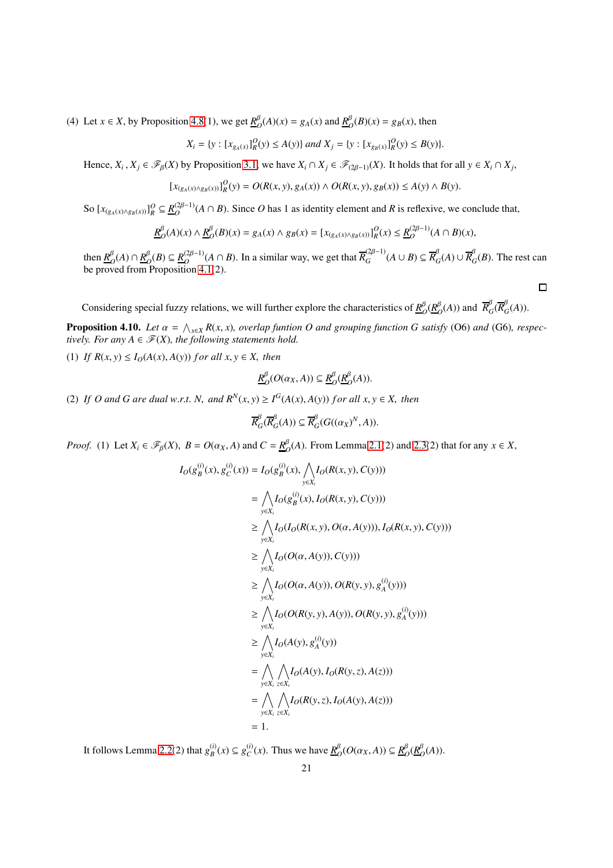(4) Let  $x \in X$ , by Proposition [4.8\(](#page-19-0)1), we get  $\frac{R}{C}$  $\frac{\beta}{Q}(A)(x) = g_A(x)$  and  $\underline{R}_C^{\beta}$  $O(B)(x) = g_B(x)$ , then

$$
X_i = \{ y : [x_{g_A(x)}]_R^O(y) \le A(y) \} \text{ and } X_j = \{ y : [x_{g_B(x)}]_R^O(y) \le B(y) \}.
$$

Hence,  $X_i$ ,  $X_j \in \mathcal{F}_{\beta}(X)$  by Proposition [3.1,](#page-6-1) we have  $X_i \cap X_j \in \mathcal{F}_{(2\beta-1)}(X)$ . It holds that for all  $y \in X_i \cap X_j$ ,

$$
[x_{(g_A(x)\wedge g_B(x))}]_R^O(y) = O(R(x, y), g_A(x)) \wedge O(R(x, y), g_B(x)) \le A(y) \wedge B(y).
$$

So  $[x_{(g_A(x) \wedge g_B(x))}]_R^O \subseteq \underline{R}_O^{(2\beta-1)}$  $O$ <sup>( $\mu^{(2\beta-1)}$ </sup> $(A \cap B)$ ). Since *O* has 1 as identity element and *R* is reflexive, we conclude that,

$$
\underline{R}_{O}^{\beta}(A)(x) \wedge \underline{R}_{O}^{\beta}(B)(x) = g_{A}(x) \wedge g_{B}(x) = [x_{(g_{A}(x) \wedge g_{B}(x))}]_{R}^{O}(x) \le \underline{R}_{O}^{(2\beta - 1)}(A \cap B)(x),
$$

then  $\underline{R}_{\ell}^{\beta}$  $O(D^{\beta}(A) \cap \underline{R}_{C}^{\beta})$  $O$ <sup>*B*</sup> $O$ </sub> $(B)$  ⊆  $R$ <sub> $O$ </sub> $(2β-1)$  $O$ <sup>(2β−1)</sup>( $A \cap B$ ). In a similar way, we get that  $\overline{R}_G^{(2\beta-1)}(A \cup B) \subseteq \overline{R}_G^{\beta}(A) \cup \overline{R}_G^{\beta}(B)$ . The rest can be proved from Proposition [4.1\(](#page-13-1)2).

 $\Box$ 

Considering special fuzzy relations, we will further explore the characteristics of  $R^{\beta}_{\alpha}$  $o^{\beta}$ <sub> $O$ </sub> $(\underline{R}_{\ell}^{\beta}$  $\frac{\beta}{O}(A)$  and  $\overline{R}_C^{\beta}$  ${}^{\beta}_{G}$ ( $\overline{R}_{G}^{\beta}$  $G'(A)$ ).

**Proposition 4.10.** Let  $\alpha = \bigwedge_{x \in X} R(x, x)$ , overlap funtion O and grouping function G satisfy (O6) and (G6), respec*tively. For any*  $A \in \mathcal{F}(X)$ *, the following statements hold.* 

(1) *If*  $R(x, y) \leq I_O(A(x), A(y))$  *for all*  $x, y \in X$ *, then* 

$$
\underline{R}^{\beta}_{O}(O(\alpha_{X}, A)) \subseteq \underline{R}^{\beta}_{O}(\underline{R}^{\beta}_{O}(A)).
$$

(2) *If O and G are dual w.r.t. N, and*  $R^N(x, y) \geq I^G(A(x), A(y))$  *for all x, y*  $\in$  *X, then* 

$$
\overline{R}_{G}^{\beta}(\overline{R}_{G}^{\beta}(A)) \subseteq \overline{R}_{G}^{\beta}(G((\alpha_{X})^{N}, A)).
$$

*Proof.* (1) Let  $X_i \in \mathcal{F}_{\beta}(X)$ ,  $B = O(\alpha_X, A)$  and  $C = \frac{R^{\beta}_{\beta}}{B(\beta)}$  $O_O^B(A)$ . From Lemma [2.1\(](#page-4-1)2) and [2.3\(](#page-4-2)2) that for any *x*  $\in$  *X*,

$$
I_O(g_B^{(i)}(x), g_C^{(i)}(x)) = I_O(g_B^{(i)}(x), \bigwedge_{y \in X_i} I_O(R(x, y), C(y)))
$$
  
\n
$$
= \bigwedge_{y \in X_i} I_O(g_B^{(i)}(x), I_O(R(x, y), C(y)))
$$
  
\n
$$
\geq \bigwedge_{y \in X_i} I_O(I_O(R(x, y), O(\alpha, A(y))), I_O(R(x, y), C(y)))
$$
  
\n
$$
\geq \bigwedge_{y \in X_i} I_O(O(\alpha, A(y)), C(y)))
$$
  
\n
$$
\geq \bigwedge_{y \in X_i} I_O(O(\alpha, A(y)), O(R(y, y), g_A^{(i)}(y)))
$$
  
\n
$$
\geq \bigwedge_{y \in X_i} I_O(O(R(y, y), A(y)), O(R(y, y), g_A^{(i)}(y)))
$$
  
\n
$$
\geq \bigwedge_{y \in X_i} I_O(A(y), g_A^{(i)}(y))
$$
  
\n
$$
= \bigwedge_{y \in X_i} \bigwedge_{z \in X_i} I_O(R(y), I_O(R(y, z), A(z)))
$$
  
\n
$$
= \bigwedge_{y \in X_i} \bigwedge_{z \in X_i} I_O(R(y, z), I_O(A(y), A(z)))
$$
  
\n
$$
= 1.
$$

It follows Lemma [2.2\(](#page-4-0)2) that  $g_B^{(i)}(x) \subseteq g_C^{(i)}(x)$ . Thus we have  $\underline{R}_C^{\beta}$  $O(O(\alpha_X, A)) \subseteq R_C^{\beta}$  $o^{\beta}$ <sub> $O$ </sub> $(\underline{R}_{\mathcal{C}}^{\beta}$  $O<sup>\beta</sup>(A)$ ).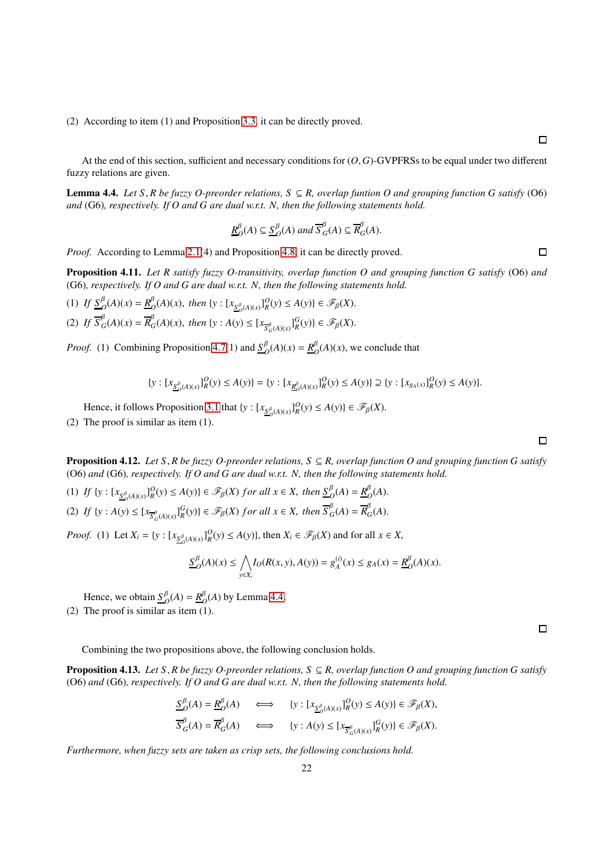(2) According to item (1) and Proposition [3.3,](#page-7-0) it can be directly proved.

At the end of this section, sufficient and necessary conditions for (*O*, *G*)-GVPFRSs to be equal under two different fuzzy relations are given.

<span id="page-21-0"></span>**Lemma 4.4.** *Let* S, *R* be fuzzy O-preorder relations,  $S \subseteq R$ , overlap funtion O and grouping function G satisfy (O6) *and* (G6)*, respectively. If O and G are dual w.r.t. N, then the following statements hold.*

$$
\underline{R}_{O}^{\beta}(A) \subseteq \underline{S}_{O}^{\beta}(A) \text{ and } \overline{S}_{G}^{\beta}(A) \subseteq \overline{R}_{G}^{\beta}(A).
$$

*Proof.* According to Lemma [2.1\(](#page-4-1)4) and Proposition [4.8,](#page-19-0) it can be directly proved.

Proposition 4.11. *Let R satisfy fuzzy O-transitivity, overlap function O and grouping function G satisfy* (O6) *and* (G6)*, respectively. If O and G are dual w.r.t. N, then the following statements hold.*

(1) *If*  $S_{Q}^{\beta}(A)(x) = R_{Q}^{\beta}$  $O_O^{\beta}(A)(x)$ , *then* {*y* :  $[x_{S_O^{\beta}(A)(x)}]_R^O(y) \le A(y)$ }  $\in \mathscr{F}_{\beta}(X)$ . (2) If  $\overline{S}_{G}^{\beta}(A)(x) = \overline{R}_{G}^{\beta}(A)(x)$ , then  $\{y : A(y) \leq [x_{\overline{S}_{G}^{\beta}(A)(x)}]_{R}^{G}(y)\}\in \mathscr{F}_{\beta}(X)$ .

*Proof.* (1) Combining Proposition [4.7\(](#page-18-0)1) and *S* β  $\frac{\beta}{O}(A)(x) = \frac{R^{\beta}}{O}$  $O<sub>O</sub>(A)(x)$ , we conclude that

$$
\{y: [x_{\underline{S}_{O}^{\beta}(A)(x)}]_{R}^O(y) \le A(y)\} = \{y: [x_{\underline{R}_{O}^{\beta}(A)(x)}]_{R}^O(y) \le A(y)\} \supseteq \{y: [x_{g_A(x)}]_{R}^O(y) \le A(y)\}.
$$

Hence, it follows Proposition [3.1](#page-6-1) that  $\{y: [x_{\underline{S}_{\mathcal{O}}^{\beta}(A)(x)}]_{R}^{0}(y) \leq A(y)\} \in \mathcal{F}_{\beta}(X)$ .

(2) The proof is similar as item (1).

Proposition 4.12. *Let S*, *R be fuzzy O-preorder relations, S* ⊆ *R, overlap function O and grouping function G satisfy* (O6) *and* (G6)*, respectively. If O and G are dual w.r.t. N, then the following statements hold.*

(1) If  $\{y : [x_{\underline{S}_{O}^{\beta}(A)(x)}]_{R}^O(y) \le A(y)\}\in \mathscr{F}_{\beta}(X)$  for all  $x \in X$ , then  $\underline{S}_{O}^{\beta}(A) = \underline{R}_{C}^{\beta}(A)$ *O*  $O<sub>O</sub>(A)$ .

(2) *If*  $\{y : A(y) \le [x_{\overline{S}_{G}^{\beta}(A)(x)}]_{R}^{G}(y)\} \in \mathscr{F}_{\beta}(X)$  *for all*  $x \in X$ *, then*  $\overline{S}_{G}^{\beta}(X)$  ${}^{\beta}$ <sub>*G*</sub>(*A*) =  $\overline{R}^{\beta}$ <sub>*G*</sub>  $G(A)$ .

*Proof.* (1) Let  $X_i = \{y : [x_{\underline{S}_{\mathcal{O}}^{\beta}(A)(x)}]^Q_R(y) \leq A(y)\}\)$ , then  $X_i \in \mathcal{F}_{\beta}(X)$  and for all  $x \in X$ ,

$$
\underline{S}_{O}^{\beta}(A)(x) \le \bigwedge_{y \in X_{i}} I_{O}(R(x, y), A(y)) = g_{A}^{(i)}(x) \le g_{A}(x) = \underline{R}_{O}^{\beta}(A)(x).
$$

Hence, we obtain  $S^{\beta}_{\alpha}$  $\frac{\beta}{O}(A) = \frac{R^{\beta}}{O}$  $O<sub>O</sub><sup>\beta</sup>(A)$  by Lemma [4.4.](#page-21-0) (2) The proof is similar as item (1).

Combining the two propositions above, the following conclusion holds.

<span id="page-21-1"></span>Proposition 4.13. *Let S*, *R be fuzzy O-preorder relations, S* ⊆ *R, overlap function O and grouping function G satisfy* (O6) *and* (G6)*, respectively. If O and G are dual w.r.t. N, then the following statements hold.*

$$
\frac{S_{O}^{\beta}(A) = \underline{R}_{O}^{\beta}(A) \qquad \Longleftrightarrow \qquad \{y : [x_{\underline{S}_{O}^{\beta}(A)(x)}]_{R}^{O}(y) \le A(y)\} \in \mathcal{F}_{\beta}(X),
$$

$$
\overline{S}_{G}^{\beta}(A) = \overline{R}_{G}^{\beta}(A) \qquad \Longleftrightarrow \qquad \{y : A(y) \le [x_{\overline{S}_{G}^{\beta}(A)(x)}]_{R}^{G}(y)\} \in \mathcal{F}_{\beta}(X).
$$

*Furthermore, when fuzzy sets are taken as crisp sets, the following conclusions hold.*

 $\Box$ 

 $\Box$ 

 $\Box$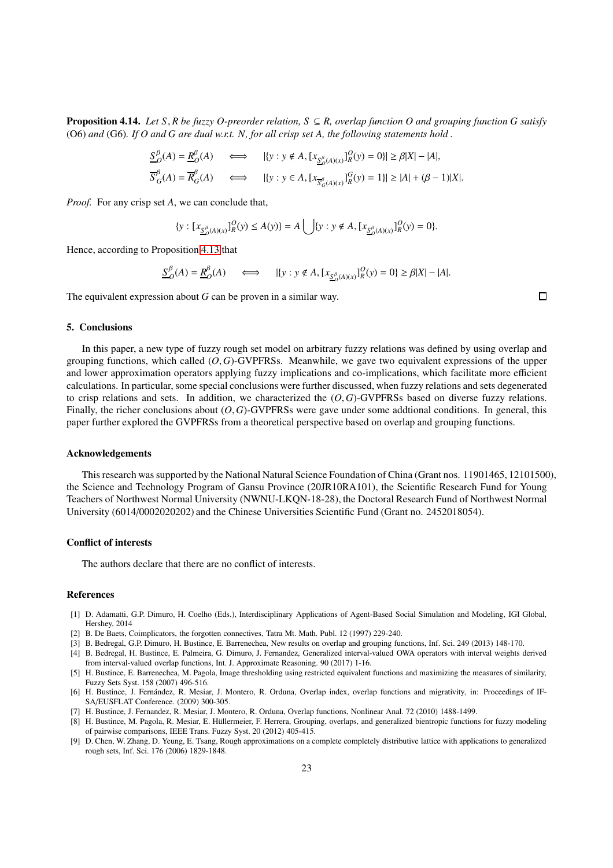Proposition 4.14. *Let S*, *R be fuzzy O-preorder relation, S* ⊆ *R, overlap function O and grouping function G satisfy* (O6) *and* (G6)*. If O and G are dual w.r.t. N, for all crisp set A, the following statements hold .*

$$
\begin{aligned}\n\underline{S}_{\mathcal{O}}^{\beta}(A) &= \underline{R}_{\mathcal{O}}^{\beta}(A) &\iff & |\{y : y \notin A, [x_{\underline{S}_{\mathcal{O}}^{\beta}(A)(x)}]_{R}^{\mathcal{O}}(y) = 0\}| \ge \beta |X| - |A|, \\
\overline{S}_{G}^{\beta}(A) &= \overline{R}_{G}^{\beta}(A) &\iff & |\{y : y \in A, [x_{\overline{S}_{\mathcal{O}}^{\beta}(A)(x)}]_{R}^{\mathcal{G}}(y) = 1\}| \ge |A| + (\beta - 1)|X|.\n\end{aligned}
$$

*Proof.* For any crisp set *A*, we can conclude that,

$$
\{y: [x_{\underline{S}_{O}^{\beta}(A)(x)}]_{R}^{O}(y) \le A(y)\} = A \bigcup \{y: y \notin A, [x_{\underline{S}_{O}^{\beta}(A)(x)}]_{R}^{O}(y) = 0\}.
$$

Hence, according to Proposition [4.13](#page-21-1) that

$$
\underline{S}_{O}^{\beta}(A) = \underline{R}_{O}^{\beta}(A) \qquad \Longleftrightarrow \qquad |\{y : y \notin A, [x_{\underline{S}_{O}^{\beta}(A)(x)}]_{R}^O(y) = 0\} \ge \beta |X| - |A|.
$$

The equivalent expression about *G* can be proven in a similar way.

#### 5. Conclusions

In this paper, a new type of fuzzy rough set model on arbitrary fuzzy relations was defined by using overlap and grouping functions, which called  $(O, G)$ -GVPFRSs. Meanwhile, we gave two equivalent expressions of the upper and lower approximation operators applying fuzzy implications and co-implications, which facilitate more efficient calculations. In particular, some special conclusions were further discussed, when fuzzy relations and sets degenerated to crisp relations and sets. In addition, we characterized the  $(O, G)$ -GVPFRSs based on diverse fuzzy relations. Finally, the richer conclusions about  $(O, G)$ -GVPFRSs were gave under some addtional conditions. In general, this paper further explored the GVPFRSs from a theoretical perspective based on overlap and grouping functions.

#### Acknowledgements

This research was supported by the National Natural Science Foundation of China (Grant nos. 11901465, 12101500), the Science and Technology Program of Gansu Province (20JR10RA101), the Scientific Research Fund for Young Teachers of Northwest Normal University (NWNU-LKQN-18-28), the Doctoral Research Fund of Northwest Normal University (6014/0002020202) and the Chinese Universities Scientific Fund (Grant no. 2452018054).

## Conflict of interests

The authors declare that there are no conflict of interests.

#### References

- <span id="page-22-6"></span>[1] D. Adamatti, G.P. Dimuro, H. Coelho (Eds.), Interdisciplinary Applications of Agent-Based Social Simulation and Modeling, IGI Global, Hershey, 2014
- <span id="page-22-7"></span>[2] B. De Baets, Coimplicators, the forgotten connectives, Tatra Mt. Math. Publ. 12 (1997) 229-240.
- <span id="page-22-4"></span>[3] B. Bedregal, G.P. Dimuro, H. Bustince, E. Barrenechea, New results on overlap and grouping functions, Inf. Sci. 249 (2013) 148-170.
- [4] B. Bedregal, H. Bustince, E. Palmeira, G. Dimuro, J. Fernandez, Generalized interval-valued OWA operators with interval weights derived from interval-valued overlap functions, Int. J. Approximate Reasoning. 90 (2017) 1-16.
- <span id="page-22-5"></span>[5] H. Bustince, E. Barrenechea, M. Pagola, Image thresholding using restricted equivalent functions and maximizing the measures of similarity, Fuzzy Sets Syst. 158 (2007) 496-516.
- <span id="page-22-3"></span>[6] H. Bustince, J. Fernández, R. Mesiar, J. Montero, R. Orduna, Overlap index, overlap functions and migrativity, in: Proceedings of IF-SA/EUSFLAT Conference. (2009) 300-305.
- <span id="page-22-1"></span>[7] H. Bustince, J. Fernandez, R. Mesiar, J. Montero, R. Orduna, Overlap functions, Nonlinear Anal. 72 (2010) 1488-1499.
- <span id="page-22-2"></span>[8] H. Bustince, M. Pagola, R. Mesiar, E. Hüllermeier, F. Herrera, Grouping, overlaps, and generalized bientropic functions for fuzzy modeling of pairwise comparisons, IEEE Trans. Fuzzy Syst. 20 (2012) 405-415.
- <span id="page-22-0"></span>[9] D. Chen, W. Zhang, D. Yeung, E. Tsang, Rough approximations on a complete completely distributive lattice with applications to generalized rough sets, Inf. Sci. 176 (2006) 1829-1848.